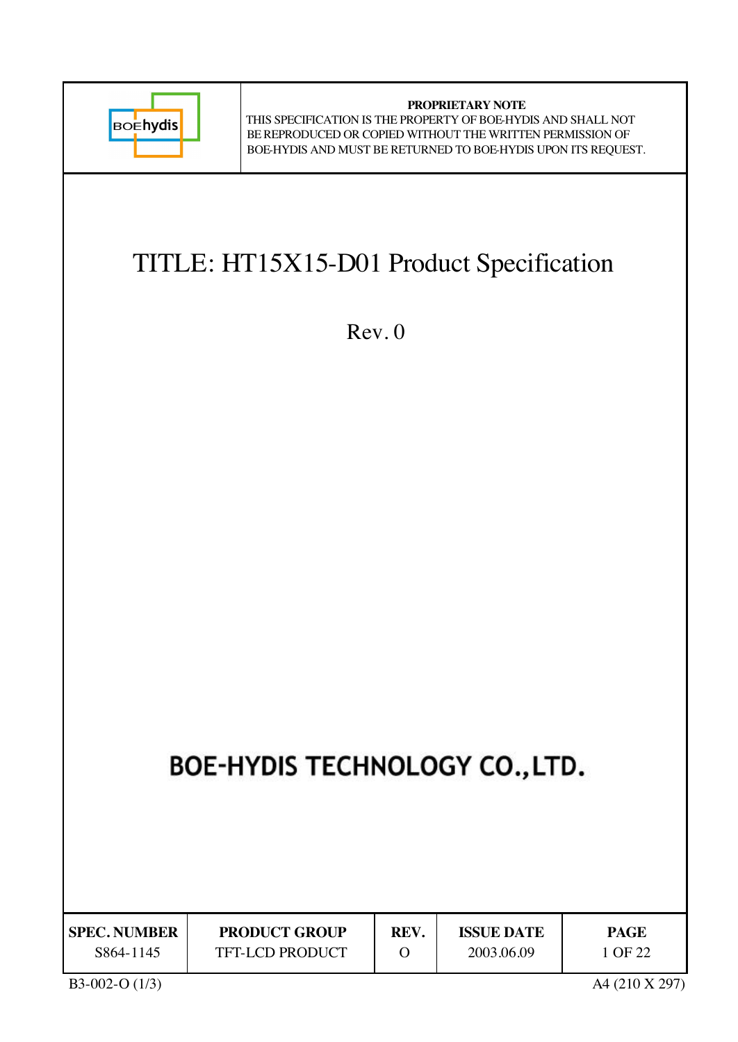

**PROPRIETARY NOTE** THIS SPECIFICATION IS THE PROPERTY OF BOE-HYDIS AND SHALL NOT BE REPRODUCED OR COPIED WITHOUT THE WRITTEN PERMISSION OF BOE-HYDIS AND MUST BE RETURNED TO BOE-HYDIS UPON ITS REQUEST.

## TITLE: HT15X15-D01 Product Specification

Rev. 0

# BOE-HYDIS TECHNOLOGY CO., LTD.

| <b>SPEC. NUMBER</b> | <b>PRODUCT GROUP</b>   | REV. | <b>ISSUE DATE</b> | <b>PAGE</b> |
|---------------------|------------------------|------|-------------------|-------------|
| S864-1145           | <b>TFT-LCD PRODUCT</b> |      | 2003.06.09        | 1 OF 22     |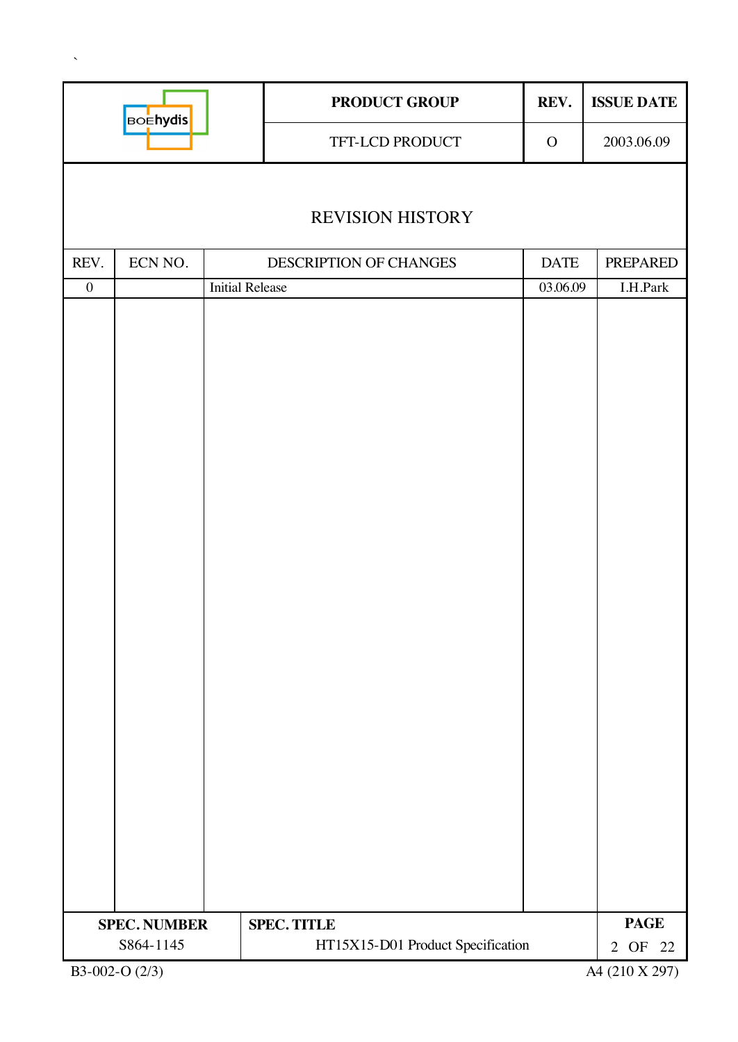|                  | <b>BOEhydis</b>                  |                        | <b>PRODUCT GROUP</b>                                    | REV.        | <b>ISSUE DATE</b>      |
|------------------|----------------------------------|------------------------|---------------------------------------------------------|-------------|------------------------|
|                  |                                  |                        | TFT-LCD PRODUCT                                         | $\mathbf O$ | 2003.06.09             |
|                  |                                  |                        |                                                         |             |                        |
|                  |                                  |                        | <b>REVISION HISTORY</b>                                 |             |                        |
| REV.             | ECN NO.                          |                        | DESCRIPTION OF CHANGES                                  | <b>DATE</b> | PREPARED               |
| $\boldsymbol{0}$ |                                  | <b>Initial Release</b> |                                                         | 03.06.09    | I.H.Park               |
|                  |                                  |                        |                                                         |             |                        |
|                  |                                  |                        |                                                         |             |                        |
|                  |                                  |                        |                                                         |             |                        |
|                  |                                  |                        |                                                         |             |                        |
|                  |                                  |                        |                                                         |             |                        |
|                  |                                  |                        |                                                         |             |                        |
|                  |                                  |                        |                                                         |             |                        |
|                  |                                  |                        |                                                         |             |                        |
|                  |                                  |                        |                                                         |             |                        |
|                  |                                  |                        |                                                         |             |                        |
|                  |                                  |                        |                                                         |             |                        |
|                  |                                  |                        |                                                         |             |                        |
|                  |                                  |                        |                                                         |             |                        |
|                  |                                  |                        |                                                         |             |                        |
|                  |                                  |                        |                                                         |             |                        |
|                  |                                  |                        |                                                         |             |                        |
|                  |                                  |                        |                                                         |             |                        |
|                  |                                  |                        |                                                         |             |                        |
|                  |                                  |                        |                                                         |             |                        |
|                  |                                  |                        |                                                         |             |                        |
|                  |                                  |                        |                                                         |             |                        |
|                  |                                  |                        |                                                         |             |                        |
|                  |                                  |                        |                                                         |             |                        |
|                  |                                  |                        |                                                         |             |                        |
|                  |                                  |                        |                                                         |             |                        |
|                  |                                  |                        |                                                         |             |                        |
|                  | <b>SPEC. NUMBER</b><br>S864-1145 |                        | <b>SPEC. TITLE</b><br>HT15X15-D01 Product Specification |             | <b>PAGE</b><br>2 OF 22 |
|                  | B3-002-O (2/3)                   |                        |                                                         |             | A4 (210 X 297)         |

 $\sim$   $\sim$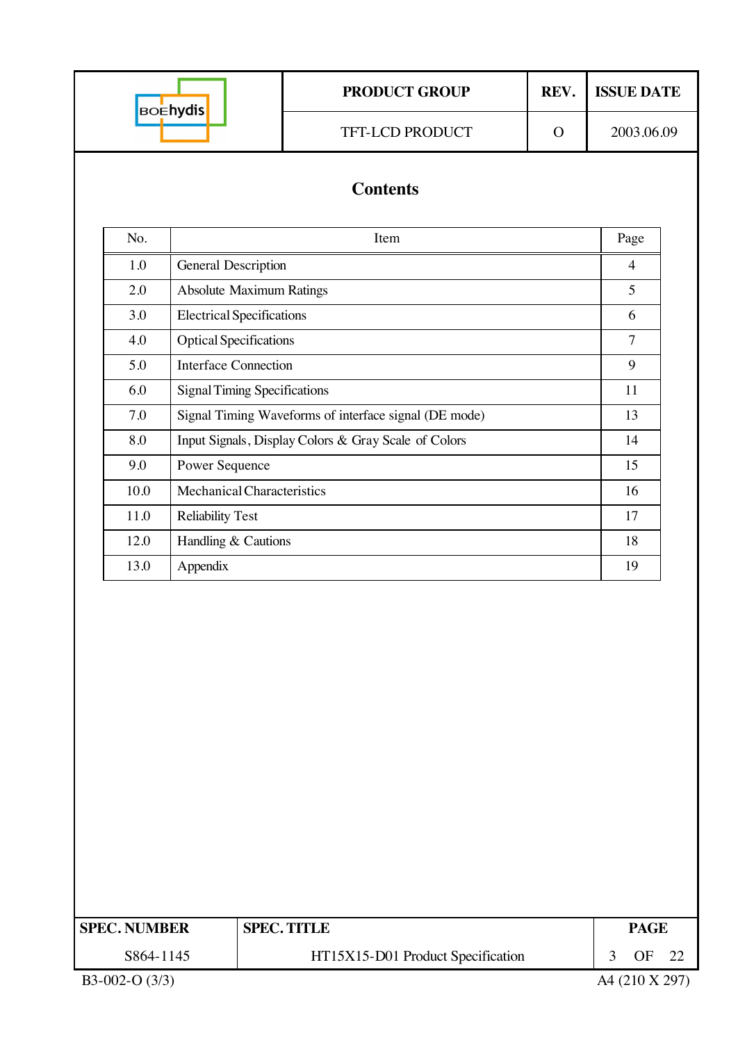|                     |                                                    | <b>PRODUCT GROUP</b>                                  | REV.       | <b>ISSUE DATE</b>    |  |
|---------------------|----------------------------------------------------|-------------------------------------------------------|------------|----------------------|--|
|                     | <b>BOEhydis</b><br>TFT-LCD PRODUCT<br>$\mathbf{O}$ |                                                       | 2003.06.09 |                      |  |
|                     |                                                    | <b>Contents</b>                                       |            |                      |  |
| No.                 |                                                    | Item                                                  |            | Page                 |  |
| 1.0                 | General Description                                |                                                       |            | $\overline{4}$       |  |
| 2.0                 |                                                    | <b>Absolute Maximum Ratings</b>                       |            | 5                    |  |
| 3.0                 | <b>Electrical Specifications</b>                   |                                                       |            | 6                    |  |
| 4.0                 | <b>Optical Specifications</b>                      |                                                       |            | $\overline{7}$       |  |
| 5.0                 | <b>Interface Connection</b>                        |                                                       |            | 9                    |  |
| 6.0                 |                                                    | <b>Signal Timing Specifications</b>                   |            | 11                   |  |
| 7.0                 |                                                    | Signal Timing Waveforms of interface signal (DE mode) |            | 13                   |  |
| 8.0                 |                                                    | Input Signals, Display Colors & Gray Scale of Colors  |            | 14                   |  |
| 9.0                 | Power Sequence                                     |                                                       |            | 15                   |  |
| 10.0                | Mechanical Characteristics                         |                                                       |            |                      |  |
| 11.0                | <b>Reliability Test</b>                            |                                                       |            |                      |  |
| 12.0                | Handling & Cautions                                |                                                       |            |                      |  |
| 13.0                | 19                                                 |                                                       |            |                      |  |
|                     |                                                    |                                                       |            |                      |  |
| <b>SPEC. NUMBER</b> |                                                    | <b>SPEC. TITLE</b>                                    |            | <b>PAGE</b>          |  |
| S864-1145           |                                                    | HT15X15-D01 Product Specification                     |            | <b>OF</b><br>3<br>22 |  |
| B3-002-O (3/3)      |                                                    |                                                       |            | A4 (210 X 297)       |  |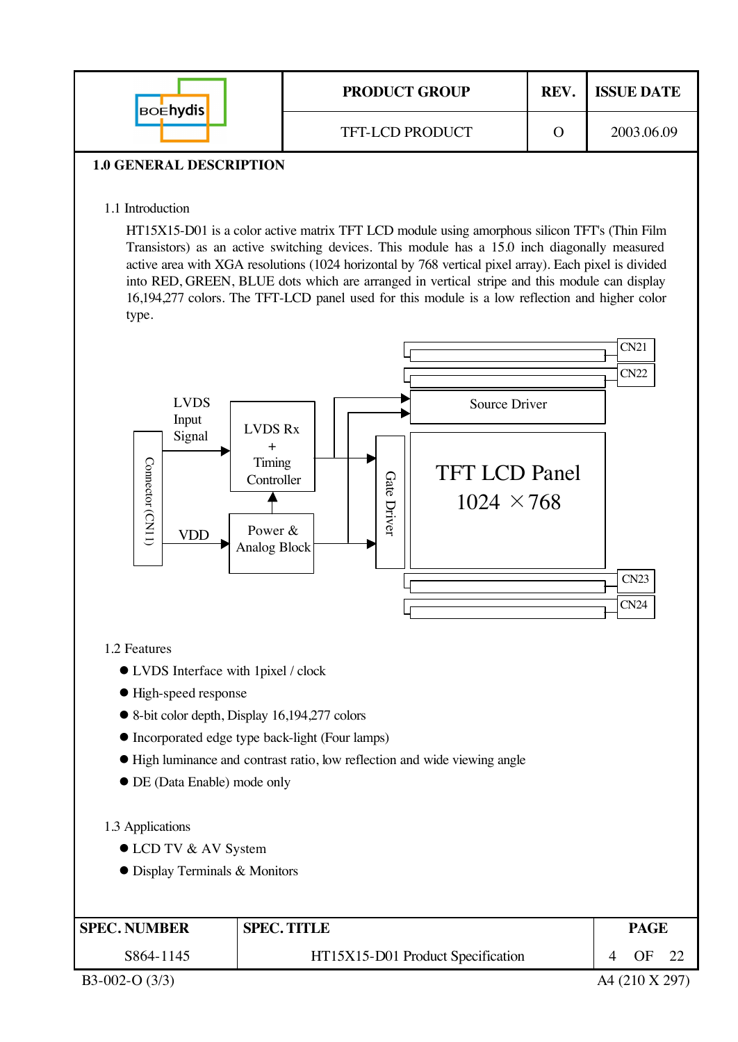| <b>BOENYdis</b>                | <b>PRODUCT GROUP</b>   | REV. | <b>ISSUE DATE</b> |
|--------------------------------|------------------------|------|-------------------|
|                                | <b>TFT-LCD PRODUCT</b> |      | 2003.06.09        |
| <b>1.0 GENERAL DESCRIPTION</b> |                        |      |                   |

### 1.1 Introduction

HT15X15-D01 is a color active matrix TFT LCD module using amorphous silicon TFT's (Thin Film Transistors) as an active switching devices. This module has a 15.0 inch diagonally measured active area with XGA resolutions (1024 horizontal by 768 vertical pixel array). Each pixel is divided into RED, GREEN, BLUE dots which are arranged in vertical stripe and this module can display 16,194,277 colors. The TFT-LCD panel used for this module is a low reflection and higher color type.



- $\bullet$  High-speed response
- 8-bit color depth, Display 16,194,277 colors
- $\bullet$  Incorporated edge type back-light (Four lamps)
- $\bullet$  High luminance and contrast ratio, low reflection and wide viewing angle
- $\bullet$  DE (Data Enable) mode only

#### 1.3 Applications

- LCD TV & AV System
- **Display Terminals & Monitors**

| <b>SPEC. NUMBER</b> | <b>SPEC. TITLE</b>                | PAGE |  |
|---------------------|-----------------------------------|------|--|
| S864-1145           | HT15X15-D01 Product Specification | OF   |  |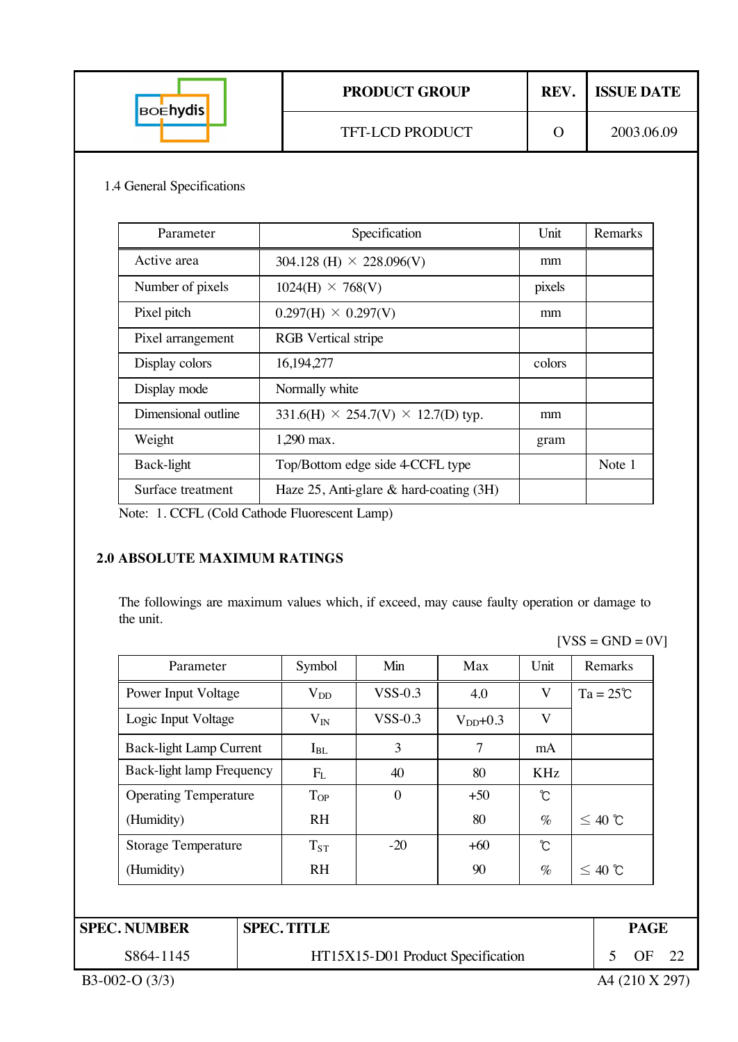| <b>BOENYdis</b> | <b>PRODUCT GROUP</b>   | <b>REV</b> | <b>ISSUE DATE</b> |
|-----------------|------------------------|------------|-------------------|
|                 | <b>TFT-LCD PRODUCT</b> |            | 2003.06.09        |

#### 1.4 General Specifications

| Parameter           | Specification                                  | Unit   | Remarks |
|---------------------|------------------------------------------------|--------|---------|
| Active area         | 304.128 (H) $\times$ 228.096(V)                | mm     |         |
| Number of pixels    | $1024(H) \times 768(V)$                        | pixels |         |
| Pixel pitch         | $0.297(H) \times 0.297(V)$                     | mm     |         |
| Pixel arrangement   | <b>RGB</b> Vertical stripe                     |        |         |
| Display colors      | 16,194,277                                     | colors |         |
| Display mode        | Normally white                                 |        |         |
| Dimensional outline | $331.6(H) \times 254.7(V) \times 12.7(D)$ typ. | mm     |         |
| Weight              | 1,290 max.                                     | gram   |         |
| Back-light          | Top/Bottom edge side 4 CCFL type               |        | Note 1  |
| Surface treatment   | Haze $25$ , Anti-glare & hard-coating $(3H)$   |        |         |

Note: 1. CCFL (Cold Cathode Fluorescent Lamp)

#### **2.0 ABSOLUTE MAXIMUM RATINGS**

The followings are maximum values which, if exceed, may cause faulty operation or damage to the unit.

| Parameter                        | Symbol    | Min          | Max            | Unit | Remarks            |
|----------------------------------|-----------|--------------|----------------|------|--------------------|
| Power Input Voltage              | $V_{DD}$  | $VSS-0.3$    | 4.0            | V    | $Ta = 25^{\circ}C$ |
| Logic Input Voltage              | $V_{IN}$  | $VSS-0.3$    | $V_{DD}$ +0.3  | V    |                    |
| <b>Back-light Lamp Current</b>   | $I_{BL}$  | 3            | $\overline{7}$ | mA   |                    |
| <b>Back-light lamp Frequency</b> | $F_{L}$   | 40           | 80             | KHz  |                    |
| <b>Operating Temperature</b>     | $T_{OP}$  | $\mathbf{0}$ | $+50$          | Ĉ    |                    |
| (Humidity)                       | <b>RH</b> |              | 80             | $\%$ | $≤$ 40 ℃           |
| <b>Storage Temperature</b>       | $T_{ST}$  | $-20$        | $+60$          | Ĉ    |                    |
| (Humidity)                       | <b>RH</b> |              | 90             | $\%$ | $\leq 40$ ℃        |

| S864-1145 | HT15X15-D01 Product Specification |  | $\bigcap$ |
|-----------|-----------------------------------|--|-----------|

 $[VSS = GND = 0V]$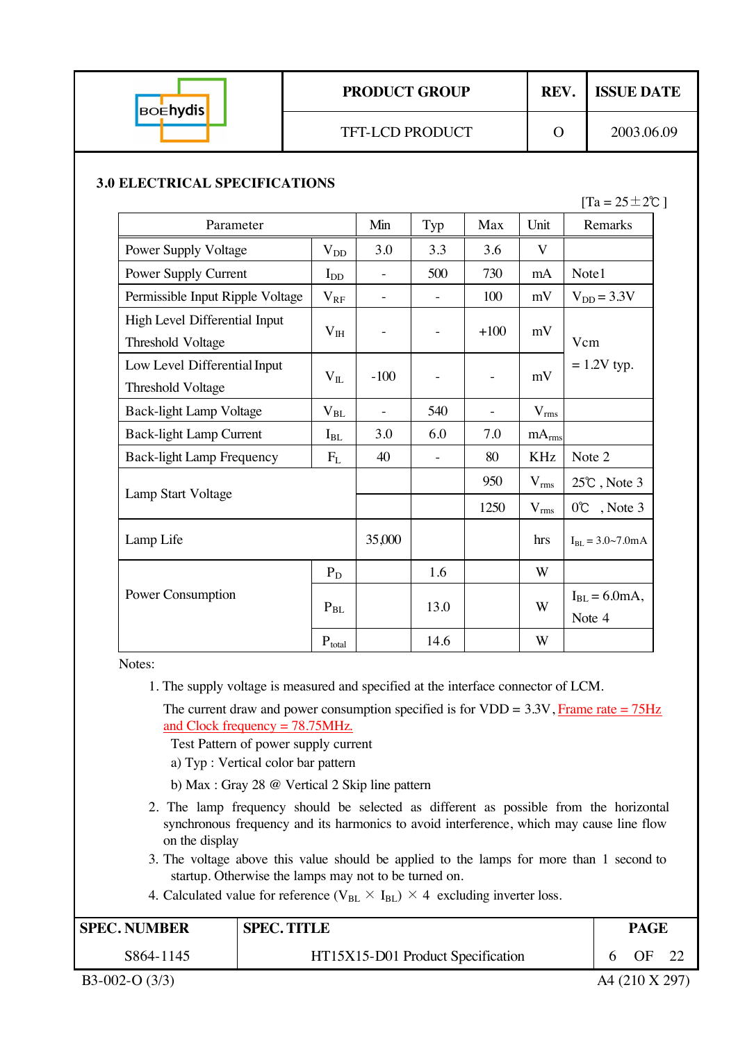| <b>BOENYdis</b> | <b>PRODUCT GROUP</b>   | REV. | <b>ISSUE DATE</b> |  |
|-----------------|------------------------|------|-------------------|--|
|                 | <b>TFT-LCD PRODUCT</b> |      | 2003.06.09        |  |

#### **3.0 ELECTRICAL SPECIFICATIONS**

 $[Ta = 25 \pm 2\degree C]$ 

| Parameter                                          |                            | Min    | Typ  | Max    | Unit              | Remarks                              |
|----------------------------------------------------|----------------------------|--------|------|--------|-------------------|--------------------------------------|
| <b>Power Supply Voltage</b>                        | $\rm V_{DD}$               | 3.0    | 3.3  | 3.6    | V                 |                                      |
| Power Supply Current                               | $I_{DD}$                   |        | 500  | 730    | mA                | Note1                                |
| Permissible Input Ripple Voltage                   | $V_{RF}$                   |        |      | 100    | mV                | $V_{DD} = 3.3V$                      |
| High Level Differential Input<br>Threshold Voltage | $V_{IH}$                   |        |      | $+100$ | mV                | Vcm                                  |
| Low Level Differential Input<br>Threshold Voltage  | $V_{IL}$                   | $-100$ |      |        | mV                | $= 1.2V$ typ.                        |
| <b>Back-light Lamp Voltage</b>                     | $V_{BL}$                   |        | 540  |        | $V_{rms}$         |                                      |
| <b>Back-light Lamp Current</b>                     | $I_{BL}$                   | 3.0    | 6.0  | 7.0    | mA <sub>rms</sub> |                                      |
| <b>Back-light Lamp Frequency</b>                   | $F_{L}$                    | 40     |      | 80     | <b>KHz</b>        | Note 2                               |
| Lamp Start Voltage                                 |                            |        |      | 950    | $V_{rms}$         | $25^{\circ}$ C, Note 3               |
|                                                    |                            |        |      | 1250   | $V_{rms}$         | 0°C, Note 3                          |
| Lamp Life                                          |                            | 35,000 |      |        | hrs               | $I_{BL} = 3.0 \sim 7.0$ mA           |
|                                                    | $P_D$                      |        | 1.6  |        | W                 |                                      |
| Power Consumption                                  | $\mathbf{P}_{\mathrm{BL}}$ |        | 13.0 |        | W                 | $I_{BL} = 6.0 \text{mA}$ ,<br>Note 4 |
|                                                    | $\mathbf{P}_{total}$       |        | 14.6 |        | W                 |                                      |

Notes:

- 1. The supply voltage is measured and specified at the interface connector of LCM.
	- The current draw and power consumption specified is for  $VDD = 3.3V$ , Frame rate = 75Hz and Clock frequency = 78.75MHz.

Test Pattern of power supply current

- a) Typ : Vertical color bar pattern
- b) Max : Gray 28 @ Vertical 2 Skip line pattern
- 2. The lamp frequency should be selected as different as possible from the horizontal synchronous frequency and its harmonics to avoid interference, which may cause line flow on the display
- 3. The voltage above this value should be applied to the lamps for more than 1 second to startup. Otherwise the lamps may not to be turned on.
- 4. Calculated value for reference ( $V_{BL} \times I_{BL}$ )  $\times$  4 excluding inverter loss.

| <b>SPEC. NUMBER</b> | <b>SPEC. TITLE</b>                | <b>PAGE</b>    |  |
|---------------------|-----------------------------------|----------------|--|
| S864-1145           | HT15X15-D01 Product Specification | OE             |  |
| $B3-002-O(3/3)$     |                                   | A4 (210 X 297) |  |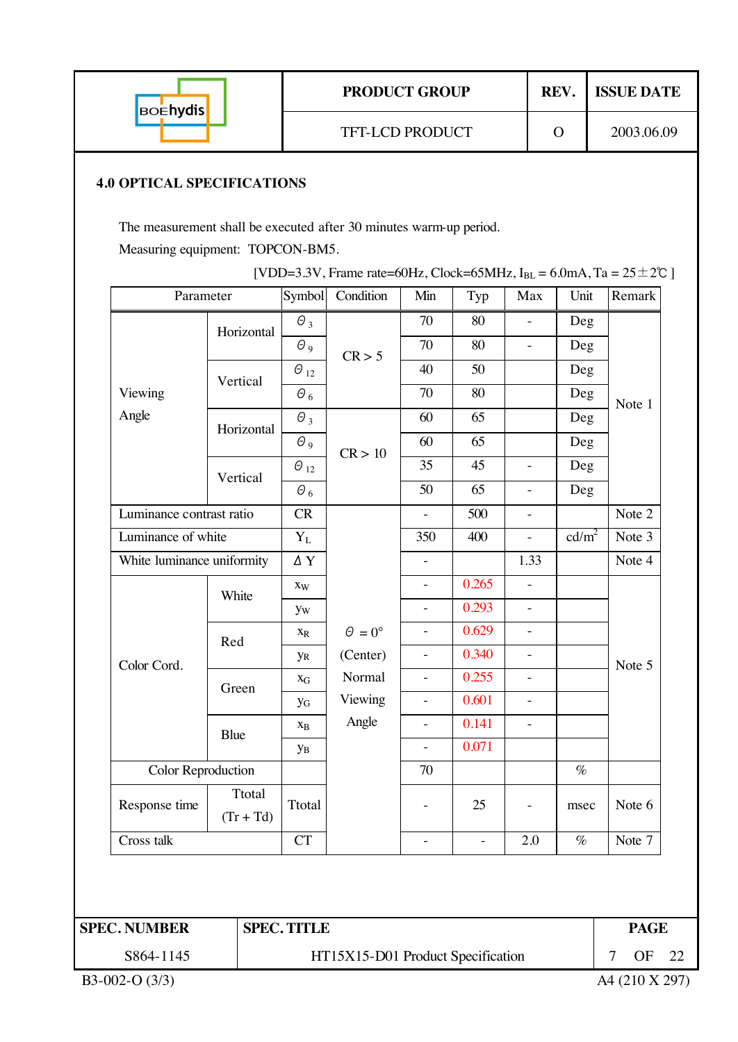|  | <b>BOEhydis</b>                                                                                         |                          |                                        | <b>PRODUCT GROUP</b>              |                                |                |                          | REV.              | <b>ISSUE DATE</b> |  |  |  |  |
|--|---------------------------------------------------------------------------------------------------------|--------------------------|----------------------------------------|-----------------------------------|--------------------------------|----------------|--------------------------|-------------------|-------------------|--|--|--|--|
|  |                                                                                                         |                          |                                        | TFT-LCD PRODUCT                   |                                |                |                          | $\Omega$          | 2003.06.09        |  |  |  |  |
|  | <b>4.0 OPTICAL SPECIFICATIONS</b><br>The measurement shall be executed after 30 minutes warm-up period. |                          |                                        |                                   |                                |                |                          |                   |                   |  |  |  |  |
|  | Measuring equipment: TOPCON-BM5.                                                                        |                          |                                        |                                   |                                |                |                          |                   |                   |  |  |  |  |
|  | [VDD=3.3V, Frame rate=60Hz, Clock=65MHz, $I_{BL}$ = 6.0mA, Ta = 25 ± 2°C ]<br>Parameter                 |                          |                                        |                                   |                                |                |                          |                   |                   |  |  |  |  |
|  |                                                                                                         |                          | Symbol                                 | Condition                         | Min                            | Typ            | Max                      | Unit              | Remark            |  |  |  |  |
|  |                                                                                                         | Horizontal               | $\Theta_3$                             |                                   | 70<br>70                       | 80<br>80       |                          | Deg               |                   |  |  |  |  |
|  |                                                                                                         |                          | $\Theta$ <sub>9</sub><br>$\Theta_{12}$ | CR > 5                            | 40                             | 50             |                          | Deg<br>Deg        |                   |  |  |  |  |
|  | Viewing                                                                                                 | Vertical                 | $\theta_6$                             |                                   | 70                             | 80             |                          | Deg               |                   |  |  |  |  |
|  | Angle                                                                                                   |                          | $\theta_3$                             |                                   | 60                             | 65             |                          | Deg               | Note 1            |  |  |  |  |
|  |                                                                                                         | Horizontal               | $\Theta$ <sub>9</sub>                  |                                   | 60                             | 65             |                          | Deg               |                   |  |  |  |  |
|  |                                                                                                         |                          | $\Theta_{12}$                          | CR > 10                           | 35                             | 45             | $\frac{1}{2}$            | Deg               |                   |  |  |  |  |
|  |                                                                                                         | Vertical                 | $\Theta_6$                             |                                   | 50                             | 65             |                          | Deg               |                   |  |  |  |  |
|  |                                                                                                         | Luminance contrast ratio |                                        |                                   | $\mathbf{r}$                   | 500            |                          |                   | Note 2            |  |  |  |  |
|  | Luminance of white                                                                                      |                          | $\mathbf{Y}_{\text{L}}$                |                                   | 350                            | 400            |                          | cd/m <sup>2</sup> | Note 3            |  |  |  |  |
|  | White luminance uniformity                                                                              |                          | ΔY                                     |                                   | $\overline{\phantom{a}}$       |                | 1.33                     |                   | Note 4            |  |  |  |  |
|  |                                                                                                         | White                    | Xw                                     |                                   |                                | 0.265          | $\overline{\phantom{a}}$ |                   |                   |  |  |  |  |
|  |                                                                                                         |                          | yw                                     |                                   | $\equiv$                       | 0.293          | $\overline{\phantom{a}}$ |                   |                   |  |  |  |  |
|  |                                                                                                         | Red                      | $\mathbf{X}_{\text{R}}$                | $\Theta = 0^{\circ}$              |                                | 0.629          |                          |                   |                   |  |  |  |  |
|  | Color Cord.                                                                                             |                          | <b>y</b> <sub>R</sub>                  | (Center)                          | $\overline{\phantom{a}}$       | 0.340          | $\blacksquare$           |                   | Note 5            |  |  |  |  |
|  |                                                                                                         | Green                    | $\mathbf{X}_{\mathbf{G}}$              | Normal                            | $\blacksquare$                 | 0.255          |                          |                   |                   |  |  |  |  |
|  |                                                                                                         |                          | <b>y</b> <sub>G</sub>                  | Viewing<br>Angle                  | $\qquad \qquad -$              | 0.601          | $\overline{\phantom{a}}$ |                   |                   |  |  |  |  |
|  |                                                                                                         | Blue                     | $\mathbf{X}_{\text{B}}$                |                                   | $\overline{\phantom{0}}$       | 0.141<br>0.071 | $\overline{\phantom{a}}$ |                   |                   |  |  |  |  |
|  | Color Reproduction<br>Ttotal<br>Response time<br>$(Tr + Td)$                                            |                          | yв                                     |                                   | $\overline{\phantom{a}}$<br>70 |                |                          | $\%$              |                   |  |  |  |  |
|  |                                                                                                         |                          |                                        |                                   |                                |                |                          |                   |                   |  |  |  |  |
|  |                                                                                                         |                          | Ttotal                                 |                                   | $\blacksquare$                 | 25             |                          | msec              | Note 6            |  |  |  |  |
|  | Cross talk                                                                                              |                          | <b>CT</b>                              |                                   | ÷,                             | $\blacksquare$ | 2.0                      | $\%$              | Note 7            |  |  |  |  |
|  |                                                                                                         |                          |                                        |                                   |                                |                |                          |                   |                   |  |  |  |  |
|  | <b>SPEC. NUMBER</b>                                                                                     |                          | <b>SPEC. TITLE</b>                     |                                   | <b>PAGE</b>                    |                |                          |                   |                   |  |  |  |  |
|  | S864-1145                                                                                               |                          |                                        | HT15X15-D01 Product Specification | 7<br><b>OF</b>                 | 22             |                          |                   |                   |  |  |  |  |
|  | B3-002-O (3/3)                                                                                          |                          |                                        |                                   |                                |                |                          |                   | A4 (210 X 297)    |  |  |  |  |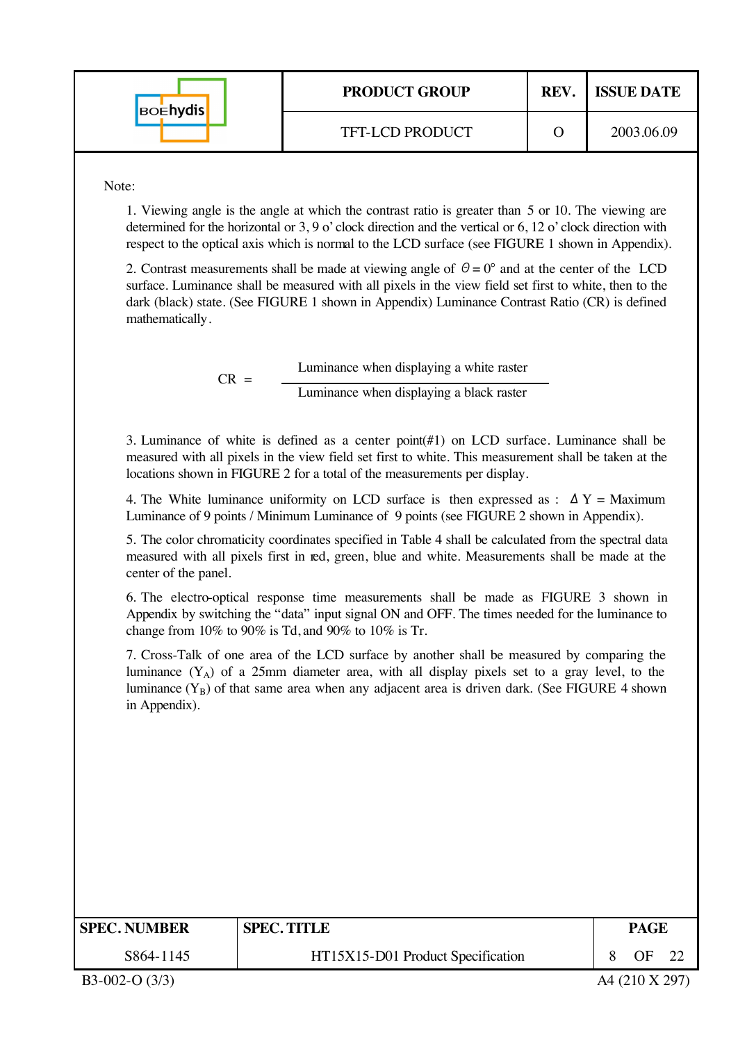| <b>BOENYdis</b> | <b>PRODUCT GROUP</b>   | REV. | <b>ISSUE DATE</b> |
|-----------------|------------------------|------|-------------------|
|                 | <b>TFT-LCD PRODUCT</b> |      | 2003.06.09        |

Note:

1. Viewing angle is the angle at which the contrast ratio is greater than 5 or 10. The viewing are determined for the horizontal or 3, 9 o' clock direction and the vertical or 6, 12 o' clock direction with respect to the optical axis which is normal to the LCD surface (see FIGURE 1 shown in Appendix).

2. Contrast measurements shall be made at viewing angle of  $\theta = 0^{\circ}$  and at the center of the LCD surface. Luminance shall be measured with all pixels in the view field set first to white, then to the dark (black) state. (See FIGURE 1 shown in Appendix) Luminance Contrast Ratio (CR) is defined mathematically.

 $CR =$  Luminance when displaying a white raster Luminance when displaying a black raster

3. Luminance of white is defined as a center point(#1) on LCD surface. Luminance shall be measured with all pixels in the view field set first to white. This measurement shall be taken at the locations shown in FIGURE 2 for a total of the measurements per display.

4. The White luminance uniformity on LCD surface is then expressed as :  $\Delta Y =$  Maximum Luminance of 9 points / Minimum Luminance of 9 points (see FIGURE 2 shown in Appendix).

5. The color chromaticity coordinates specified in Table 4 shall be calculated from the spectral data measured with all pixels first in red, green, blue and white. Measurements shall be made at the center of the panel.

6. The electro-optical response time measurements shall be made as FIGURE 3 shown in Appendix by switching the "data" input signal ON and OFF. The times needed for the luminance to change from  $10\%$  to  $90\%$  is Td, and  $90\%$  to  $10\%$  is Tr.

7. Cross-Talk of one area of the LCD surface by another shall be measured by comparing the luminance  $(Y_A)$  of a 25mm diameter area, with all display pixels set to a gray level, to the luminance  $(Y_B)$  of that same area when any adjacent area is driven dark. (See FIGURE 4 shown in Appendix).

| <b>SPEC. NUMBER</b> | <b>SPEC. TITLE</b>                | PAGE |  |  |
|---------------------|-----------------------------------|------|--|--|
| S864-1145           | HT15X15-D01 Product Specification | ΩE   |  |  |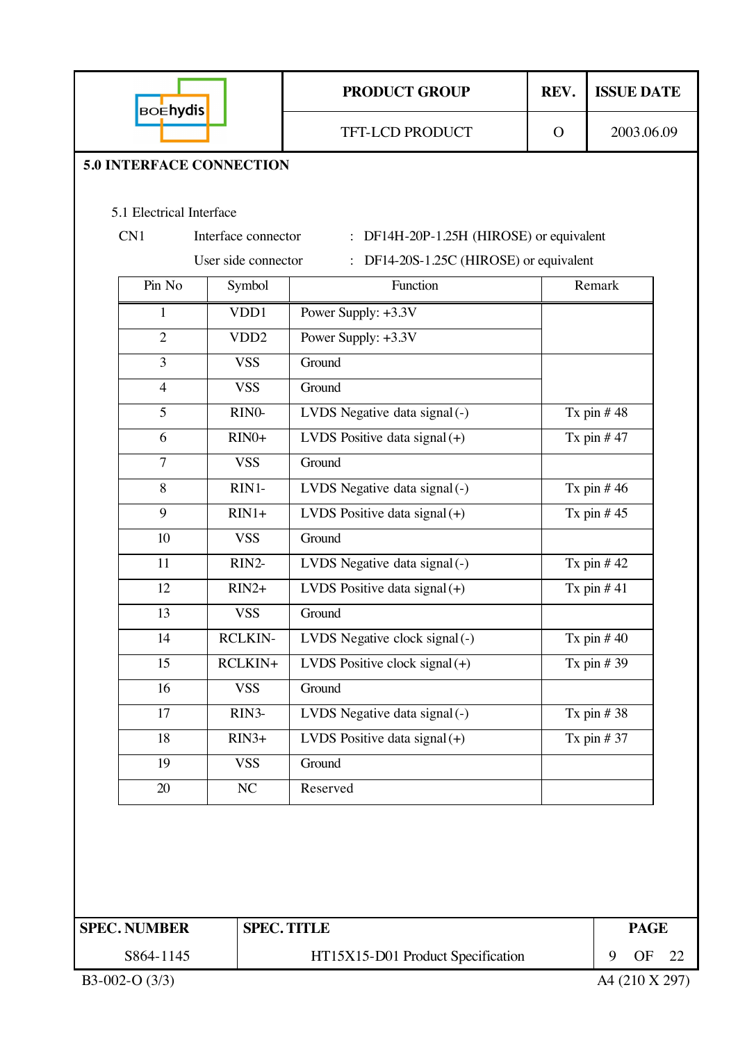| <b>BOEhydis</b>                 |                     | <b>PRODUCT GROUP</b>                                                                                | REV.                 | <b>ISSUE DATE</b> |
|---------------------------------|---------------------|-----------------------------------------------------------------------------------------------------|----------------------|-------------------|
|                                 |                     | TFT-LCD PRODUCT                                                                                     | $\mathbf{O}$         | 2003.06.09        |
| <b>5.0 INTERFACE CONNECTION</b> |                     |                                                                                                     |                      |                   |
|                                 |                     |                                                                                                     |                      |                   |
| 5.1 Electrical Interface<br>CN1 | Interface connector |                                                                                                     |                      |                   |
|                                 | User side connector | : DF14H-20P-1.25H (HIROSE) or equivalent<br>DF14-20S-1.25C (HIROSE) or equivalent<br>$\ddot{\cdot}$ |                      |                   |
| Pin No                          | Symbol              | Function                                                                                            |                      | Remark            |
| 1                               | VDD1                | Power Supply: +3.3V                                                                                 |                      |                   |
| $\overline{2}$                  | VDD <sub>2</sub>    | Power Supply: +3.3V                                                                                 |                      |                   |
| $\overline{3}$                  | <b>VSS</b>          | Ground                                                                                              |                      |                   |
| $\overline{4}$                  | <b>VSS</b>          | Ground                                                                                              |                      |                   |
| 5                               | RINO-               | LVDS Negative data signal (-)                                                                       |                      | Tx pin $#48$      |
| 6                               | $RIN0+$             | LVDS Positive data signal $(+)$                                                                     |                      | Tx pin $#47$      |
| $\overline{7}$                  | <b>VSS</b>          | Ground                                                                                              |                      |                   |
| 8                               | RIN1-               | LVDS Negative data signal (-)                                                                       |                      | Tx pin $#46$      |
| 9                               | $RIN1+$             | LVDS Positive data signal $(+)$                                                                     |                      | Tx pin $#45$      |
| 10                              | <b>VSS</b>          | Ground                                                                                              |                      |                   |
| 11                              | RIN2-               | LVDS Negative data signal (-)                                                                       |                      | Tx pin $#42$      |
| 12                              | $RIN2+$             | LVDS Positive data signal $(+)$                                                                     |                      | Tx pin $#41$      |
| 13                              | <b>VSS</b>          | Ground                                                                                              |                      |                   |
| 14                              | <b>RCLKIN-</b>      | LVDS Negative clock signal (-)                                                                      |                      | Tx pin $#40$      |
| 15                              | RCLKIN+             | LVDS Positive clock signal $(+)$                                                                    |                      | Tx pin $#39$      |
| 16                              | <b>VSS</b>          | Ground                                                                                              |                      |                   |
| 17                              | RIN <sub>3</sub> -  | LVDS Negative data signal (-)                                                                       |                      | Tx pin $#38$      |
| 18                              | $RIN3+$             | LVDS Positive data signal $(+)$                                                                     |                      | Tx pin $#37$      |
| 19                              | <b>VSS</b>          | Ground                                                                                              |                      |                   |
| 20                              | NC                  | Reserved                                                                                            |                      |                   |
|                                 |                     |                                                                                                     |                      |                   |
|                                 |                     |                                                                                                     |                      |                   |
|                                 |                     |                                                                                                     |                      |                   |
|                                 |                     |                                                                                                     |                      |                   |
| <b>SPEC. NUMBER</b>             |                     | <b>SPEC. TITLE</b>                                                                                  |                      | <b>PAGE</b>       |
| S864-1145                       |                     | HT15X15-D01 Product Specification                                                                   | 9<br><b>OF</b><br>22 |                   |
| B3-002-O (3/3)                  |                     |                                                                                                     |                      | A4 (210 X 297)    |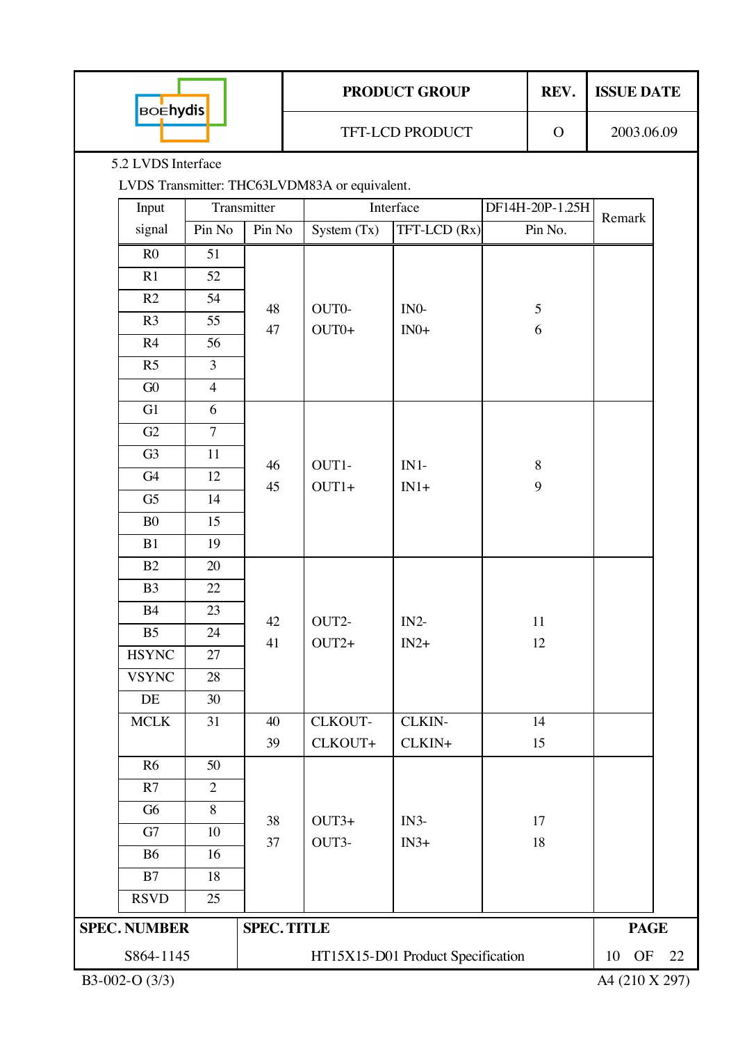| <b>BOEhydis</b>     |                |                    |  |                                               | <b>PRODUCT GROUP</b>              |    | REV.            | <b>ISSUE DATE</b> |                |  |  |  |
|---------------------|----------------|--------------------|--|-----------------------------------------------|-----------------------------------|----|-----------------|-------------------|----------------|--|--|--|
|                     |                |                    |  |                                               | TFT-LCD PRODUCT                   |    | $\mathbf O$     | 2003.06.09        |                |  |  |  |
| 5.2 LVDS Interface  |                |                    |  |                                               |                                   |    |                 |                   |                |  |  |  |
|                     |                |                    |  | LVDS Transmitter: THC63LVDM83A or equivalent. |                                   |    |                 |                   |                |  |  |  |
| Input               |                | Transmitter        |  |                                               | Interface                         |    | DF14H-20P-1.25H | Remark            |                |  |  |  |
| signal              | Pin No         | Pin No             |  | System $(Tx)$                                 | TFT-LCD (Rx)                      |    | Pin No.         |                   |                |  |  |  |
| R <sub>0</sub>      | 51             |                    |  |                                               |                                   |    |                 |                   |                |  |  |  |
| R1                  | 52             |                    |  |                                               |                                   |    |                 |                   |                |  |  |  |
| R2                  | 54             | 48                 |  | OUT0-                                         | IN <sub>0</sub>                   |    | 5               |                   |                |  |  |  |
| R <sub>3</sub>      | 55             | 47                 |  | $OUT0+$                                       | $IN0+$                            |    | 6               |                   |                |  |  |  |
| R4                  | 56             |                    |  |                                               |                                   |    |                 |                   |                |  |  |  |
| R <sub>5</sub>      | $\overline{3}$ |                    |  |                                               |                                   |    |                 |                   |                |  |  |  |
| G0                  | $\overline{4}$ |                    |  |                                               |                                   |    |                 |                   |                |  |  |  |
| G1                  | 6              |                    |  |                                               |                                   |    |                 |                   |                |  |  |  |
| G2                  | $\overline{7}$ |                    |  |                                               |                                   |    |                 |                   |                |  |  |  |
| G <sub>3</sub>      | 11             |                    |  |                                               |                                   |    |                 |                   |                |  |  |  |
| G4                  | 12             | 46                 |  | OUT1-                                         | $IN1-$                            |    | $\,8\,$         |                   |                |  |  |  |
| G <sub>5</sub>      | 14             | 45                 |  | $OUT1+$                                       | $IN1+$                            |    | 9               |                   |                |  |  |  |
| B <sub>0</sub>      | 15             |                    |  |                                               |                                   |    |                 |                   |                |  |  |  |
| B1                  | 19             |                    |  |                                               |                                   |    |                 |                   |                |  |  |  |
| B2                  | 20             |                    |  |                                               |                                   |    |                 |                   |                |  |  |  |
| B <sub>3</sub>      | 22             |                    |  |                                               |                                   |    |                 |                   |                |  |  |  |
| B4                  | 23             |                    |  |                                               |                                   |    |                 |                   |                |  |  |  |
| B <sub>5</sub>      | 24             | 42                 |  | OUT2-                                         | $IN2-$                            | 11 |                 |                   |                |  |  |  |
| <b>HSYNC</b>        | 27             | 41                 |  | $OUT2+$                                       | $IN2+$                            |    | 12              |                   |                |  |  |  |
| <b>VSYNC</b>        | $28\,$         |                    |  |                                               |                                   |    |                 |                   |                |  |  |  |
| DE                  | 30             |                    |  |                                               |                                   |    |                 |                   |                |  |  |  |
| $\sf MCLK$          | 31             | 40                 |  | CLKOUT-                                       | CLKIN-                            |    | 14              |                   |                |  |  |  |
|                     |                | 39                 |  | CLKOUT+                                       | CLKIN+                            |    | 15              |                   |                |  |  |  |
| R6                  | 50             |                    |  |                                               |                                   |    |                 |                   |                |  |  |  |
| R7                  | $\overline{2}$ |                    |  |                                               |                                   |    |                 |                   |                |  |  |  |
| G <sub>6</sub>      | $8\,$          |                    |  |                                               |                                   |    |                 |                   |                |  |  |  |
| G7                  | 10             | 38                 |  | $OUT3+$                                       | $IN3-$                            |    | 17              |                   |                |  |  |  |
| <b>B6</b>           | 16             | 37                 |  | OUT3-                                         | $IN3+$                            |    | 18              |                   |                |  |  |  |
| B7                  | 18             |                    |  |                                               |                                   |    |                 |                   |                |  |  |  |
| <b>RSVD</b>         | 25             |                    |  |                                               |                                   |    |                 |                   |                |  |  |  |
| <b>SPEC. NUMBER</b> |                | <b>SPEC. TITLE</b> |  |                                               | <b>PAGE</b>                       |    |                 |                   |                |  |  |  |
| S864-1145           |                |                    |  |                                               |                                   |    |                 |                   |                |  |  |  |
|                     |                |                    |  |                                               | HT15X15-D01 Product Specification |    |                 |                   | OF<br>10<br>22 |  |  |  |
| B3-002-O (3/3)      |                |                    |  |                                               |                                   |    |                 | A4 (210 X 297)    |                |  |  |  |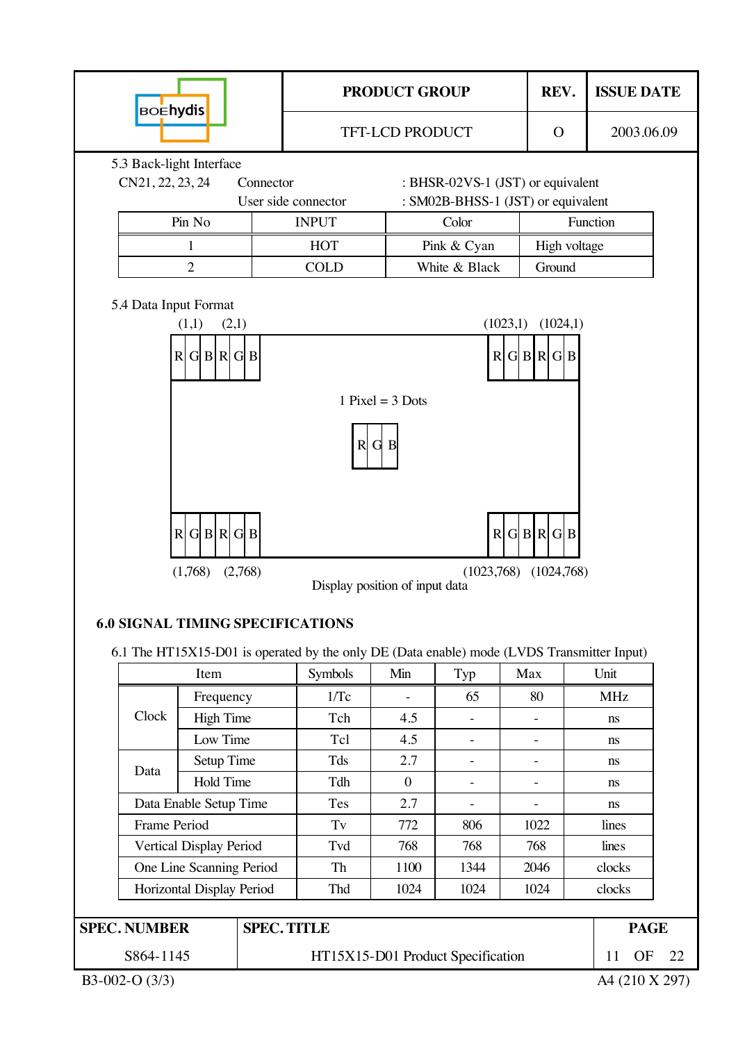

| S864-1145 | HT15X15-D01 Product Specific |
|-----------|------------------------------|

 $\text{ratio}$  11 OF 22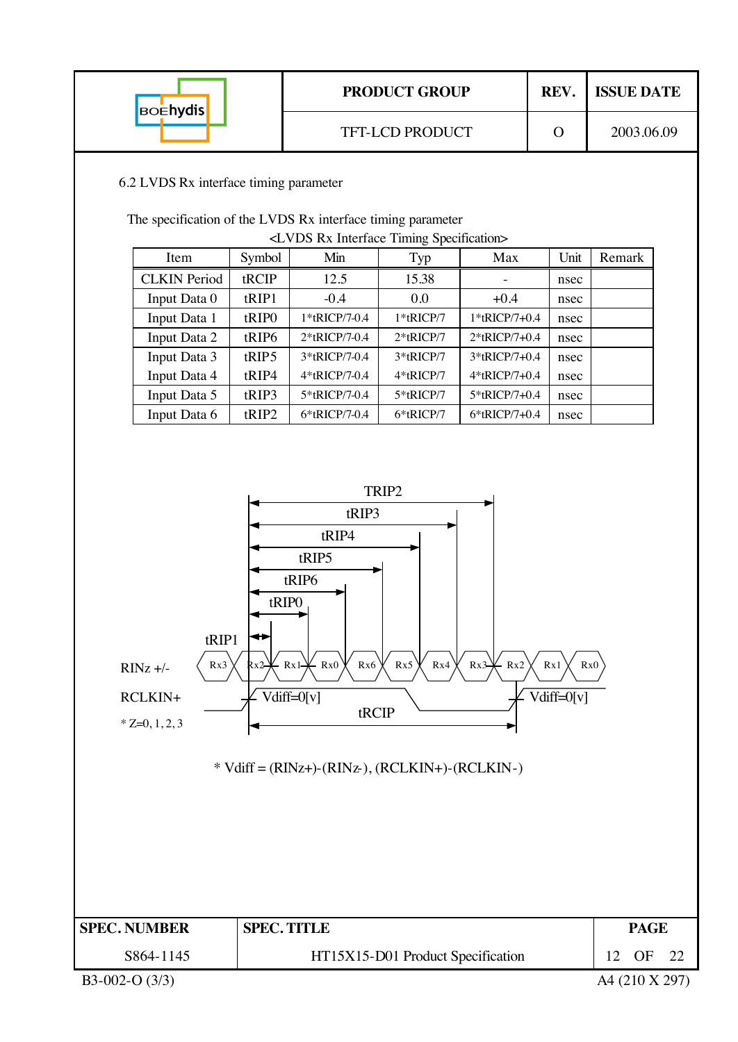| <b>BOEhydis</b>                                                                                                                                                                                                                                                |                                                                                                                             |                                                  | <b>PRODUCT GROUP</b>              |               | REV.         | <b>ISSUE DATE</b> |  |  |  |  |  |  |  |
|----------------------------------------------------------------------------------------------------------------------------------------------------------------------------------------------------------------------------------------------------------------|-----------------------------------------------------------------------------------------------------------------------------|--------------------------------------------------|-----------------------------------|---------------|--------------|-------------------|--|--|--|--|--|--|--|
|                                                                                                                                                                                                                                                                |                                                                                                                             |                                                  | TFT-LCD PRODUCT                   |               | $\mathbf{O}$ | 2003.06.09        |  |  |  |  |  |  |  |
| 6.2 LVDS Rx interface timing parameter                                                                                                                                                                                                                         |                                                                                                                             |                                                  |                                   |               |              |                   |  |  |  |  |  |  |  |
|                                                                                                                                                                                                                                                                | The specification of the LVDS Rx interface timing parameter                                                                 |                                                  |                                   |               |              |                   |  |  |  |  |  |  |  |
|                                                                                                                                                                                                                                                                | <lvds interface="" rx="" specification="" timing=""><br/>Unit<br/>Symbol<br/>Min<br/>Item<br/>Typ<br/>Max<br/>Remark</lvds> |                                                  |                                   |               |              |                   |  |  |  |  |  |  |  |
|                                                                                                                                                                                                                                                                |                                                                                                                             |                                                  |                                   |               |              |                   |  |  |  |  |  |  |  |
| <b>CLKIN</b> Period<br>Input Data 0                                                                                                                                                                                                                            | tRCIP<br>tRIP1                                                                                                              | 12.5<br>$-0.4$                                   | 15.38<br>0.0                      | $+0.4$        | nsec         |                   |  |  |  |  |  |  |  |
| Input Data 1                                                                                                                                                                                                                                                   | tRIPO                                                                                                                       | 1*tRICP/7-0.4                                    | $1*$ tRICP/7                      | 1*tRICP/7+0.4 | nsec<br>nsec |                   |  |  |  |  |  |  |  |
| Input Data 2                                                                                                                                                                                                                                                   | tRIP6                                                                                                                       | 2*tRICP/7-0.4                                    | $2*$ tRICP/7                      | 2*tRICP/7+0.4 | nsec         |                   |  |  |  |  |  |  |  |
| Input Data 3                                                                                                                                                                                                                                                   | tRIP5                                                                                                                       | 3*tRICP/7-0.4                                    | 3*tRICP/7                         | 3*tRICP/7+0.4 | nsec         |                   |  |  |  |  |  |  |  |
| Input Data 4                                                                                                                                                                                                                                                   | tRIP4                                                                                                                       | 4*tRICP/7-0.4                                    | 4*tRICP/7                         | 4*tRICP/7+0.4 | nsec         |                   |  |  |  |  |  |  |  |
| Input Data 5                                                                                                                                                                                                                                                   | tRIP3                                                                                                                       | 5*tRICP/7-0.4                                    | 5*tRICP/7                         | 5*tRICP/7+0.4 | nsec         |                   |  |  |  |  |  |  |  |
| Input Data 6                                                                                                                                                                                                                                                   | tRIP2                                                                                                                       | 6*tRICP/7-0.4                                    | 6*tRICP/7                         | 6*tRICP/7+0.4 | nsec         |                   |  |  |  |  |  |  |  |
| tRIP4<br>tRIP5<br>tRIP6<br>tRIPO<br>↔<br>tRIP1<br>Rx5<br>Rx3<br>$\leftarrow$ Rx <sub>0</sub><br>Rx6<br>Rx4<br>$\cdot$ Rx1 $\rightarrow$<br>Rx3<br>Rx2<br>Rx1<br>Rx0<br>Rx2-<br>$RINz +/-$<br>Vdiff=0[v]<br>$Vdiff=0[v]$<br>RCLKIN+<br>tRCIP<br>$*Z=0, 1, 2, 3$ |                                                                                                                             |                                                  |                                   |               |              |                   |  |  |  |  |  |  |  |
| <b>SPEC. NUMBER</b>                                                                                                                                                                                                                                            | <b>SPEC. TITLE</b>                                                                                                          | $*$ Vdiff = (RINz+)-(RINz-), (RCLKIN+)-(RCLKIN-) |                                   |               |              | <b>PAGE</b>       |  |  |  |  |  |  |  |
| S864-1145                                                                                                                                                                                                                                                      |                                                                                                                             |                                                  | HT15X15-D01 Product Specification |               |              | 12<br>OF<br>22    |  |  |  |  |  |  |  |
| B3-002-O $(3/3)$                                                                                                                                                                                                                                               |                                                                                                                             |                                                  |                                   |               |              | A4 (210 X 297)    |  |  |  |  |  |  |  |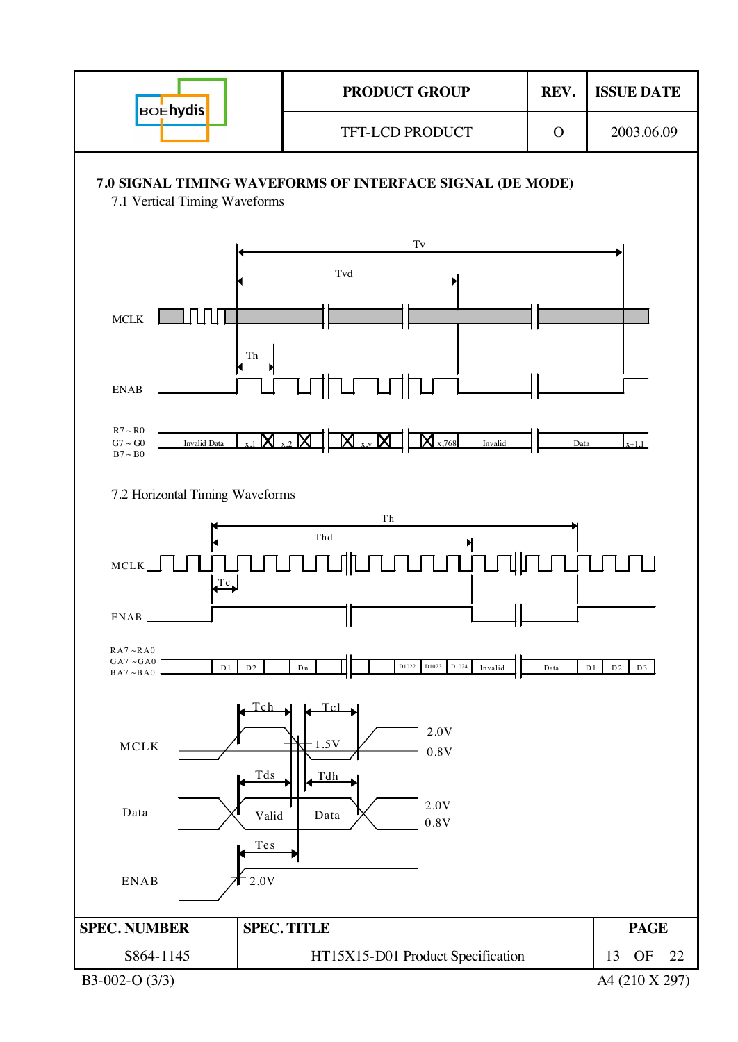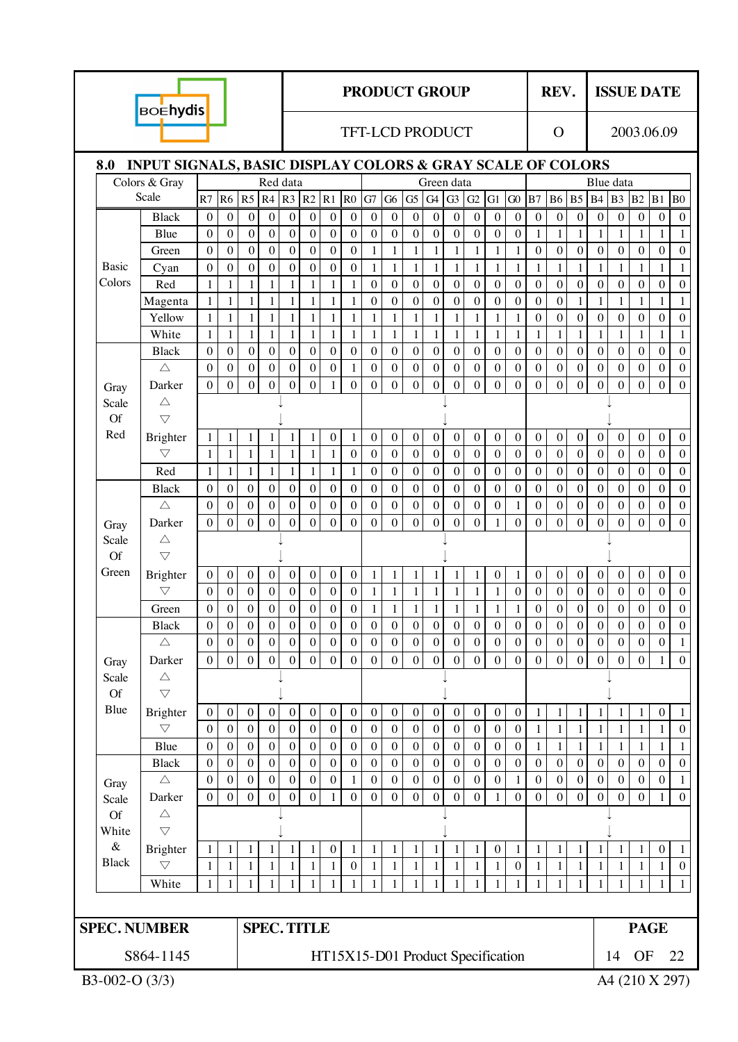|                     | <b>BOEhydis</b>                                                                 |                              |                                      |                                  |                                      |                              |                                 |                                  |                                                                                                               |                              |                              |                              |                              | <b>PRODUCT GROUP</b>                |                              |                              |                                  |                                  | REV.                           |                                  |                                  | <b>ISSUE DATE</b>                |                                  |                                  |                              |
|---------------------|---------------------------------------------------------------------------------|------------------------------|--------------------------------------|----------------------------------|--------------------------------------|------------------------------|---------------------------------|----------------------------------|---------------------------------------------------------------------------------------------------------------|------------------------------|------------------------------|------------------------------|------------------------------|-------------------------------------|------------------------------|------------------------------|----------------------------------|----------------------------------|--------------------------------|----------------------------------|----------------------------------|----------------------------------|----------------------------------|----------------------------------|------------------------------|
|                     |                                                                                 |                              |                                      |                                  |                                      |                              | <b>TFT-LCD PRODUCT</b>          |                                  |                                                                                                               |                              |                              |                              |                              |                                     | $\Omega$                     |                              |                                  | 2003.06.09                       |                                |                                  |                                  |                                  |                                  |                                  |                              |
| 8.0                 | <b>INPUT SIGNALS, BASIC DISPLAY COLORS &amp; GRAY SCALE OF COLORS</b>           |                              |                                      |                                  |                                      |                              |                                 |                                  |                                                                                                               |                              |                              |                              |                              |                                     |                              |                              |                                  |                                  |                                |                                  |                                  |                                  |                                  |                                  |                              |
|                     | Colors & Gray                                                                   |                              |                                      |                                  |                                      | Red data                     |                                 |                                  |                                                                                                               |                              |                              |                              |                              | Green data                          |                              |                              |                                  |                                  |                                |                                  | Blue data                        |                                  |                                  |                                  |                              |
|                     | Scale                                                                           |                              |                                      | R7 R6 R5                         |                                      |                              |                                 |                                  | $R4$ R <sub>3</sub> R <sub>2</sub> R <sub>1</sub> R <sub>0</sub> G <sub>7</sub> G <sub>6</sub> G <sub>5</sub> |                              |                              |                              |                              | G4 G3 G2 G1 G0 B7 B6 B5 B4 B3 B2 B1 |                              |                              |                                  |                                  |                                |                                  |                                  |                                  |                                  |                                  | B <sub>0</sub>               |
|                     | <b>Black</b>                                                                    | $\mathbf{0}$                 | $\mathbf{0}$                         | $\mathbf{0}$                     | $\boldsymbol{0}$                     | $\boldsymbol{0}$             | $\mathbf{0}$                    | $\boldsymbol{0}$                 | $\boldsymbol{0}$                                                                                              | $\boldsymbol{0}$             | $\overline{0}$               | $\mathbf{0}$                 | $\boldsymbol{0}$             | $\mathbf{0}$                        | $\mathbf{0}$                 | $\mathbf{0}$                 | $\boldsymbol{0}$                 | $\mathbf{0}$                     | $\mathbf{0}$                   | $\mathbf{0}$                     | $\mathbf{0}$                     | $\boldsymbol{0}$                 | $\boldsymbol{0}$                 | $\boldsymbol{0}$                 | $\mathbf{0}$                 |
|                     | Blue                                                                            | $\theta$<br>$\mathbf{0}$     | $\boldsymbol{0}$<br>$\boldsymbol{0}$ | $\boldsymbol{0}$<br>$\mathbf{0}$ | $\boldsymbol{0}$                     | $\mathbf{0}$<br>$\mathbf 0$  | $\boldsymbol{0}$<br>$\mathbf 0$ | $\boldsymbol{0}$<br>$\mathbf{0}$ | $\boldsymbol{0}$                                                                                              | $\boldsymbol{0}$             | $\mathbf{0}$                 | $\mathbf{0}$                 | $\boldsymbol{0}$             | $\boldsymbol{0}$                    | $\boldsymbol{0}$             | $\boldsymbol{0}$             | $\boldsymbol{0}$                 | 1                                | $\mathbf{1}$<br>$\overline{0}$ | $\mathbf{1}$                     | $\mathbf{1}$<br>$\boldsymbol{0}$ | 1                                | $\mathbf{1}$                     | 1                                | 1                            |
| <b>Basic</b>        | Green                                                                           | $\boldsymbol{0}$             | $\boldsymbol{0}$                     | $\mathbf{0}$                     | $\boldsymbol{0}$<br>$\boldsymbol{0}$ | $\boldsymbol{0}$             | $\boldsymbol{0}$                | $\mathbf{0}$                     | $\boldsymbol{0}$<br>$\boldsymbol{0}$                                                                          | $\mathbf{1}$<br>$\mathbf{1}$ | $\mathbf{1}$<br>$\mathbf{1}$ | $\mathbf{1}$<br>$\mathbf{1}$ | $\mathbf{1}$<br>$\mathbf{1}$ | $\mathbf{1}$<br>$\mathbf{1}$        | $\mathbf{1}$<br>$\mathbf{1}$ | $\mathbf{1}$<br>$\mathbf{1}$ | $\mathbf{1}$<br>$\mathbf{1}$     | $\boldsymbol{0}$<br>$\mathbf{1}$ | $\mathbf{1}$                   | $\boldsymbol{0}$<br>$\mathbf{1}$ | $\mathbf{1}$                     | $\boldsymbol{0}$<br>$\mathbf{1}$ | $\boldsymbol{0}$<br>$\mathbf{1}$ | $\boldsymbol{0}$<br>$\mathbf{1}$ | $\mathbf{0}$<br>$\mathbf{1}$ |
| Colors              | Cyan<br>Red                                                                     | $\mathbf{1}$                 | 1                                    | $\mathbf{1}$                     | 1                                    | $\mathbf{1}$                 | $\mathbf{1}$                    | $\mathbf{1}$                     | $\mathbf{1}$                                                                                                  | $\boldsymbol{0}$             | $\mathbf{0}$                 | $\boldsymbol{0}$             | $\boldsymbol{0}$             | $\boldsymbol{0}$                    | $\boldsymbol{0}$             | $\mathbf{0}$                 | $\boldsymbol{0}$                 | $\mathbf{0}$                     | $\boldsymbol{0}$               | $\mathbf{0}$                     | $\boldsymbol{0}$                 | $\boldsymbol{0}$                 | $\boldsymbol{0}$                 | $\mathbf{0}$                     | $\theta$                     |
|                     | Magenta                                                                         | $\mathbf{1}$                 | 1                                    | $\mathbf{1}$                     | 1                                    | $\mathbf{1}$                 | $\mathbf{1}$                    | $\mathbf{1}$                     | $\mathbf{1}$                                                                                                  | $\overline{0}$               | $\mathbf{0}$                 | $\boldsymbol{0}$             | $\mathbf{0}$                 | $\boldsymbol{0}$                    | $\mathbf{0}$                 | $\mathbf{0}$                 | $\boldsymbol{0}$                 | $\mathbf{0}$                     | $\mathbf{0}$                   | $\mathbf{1}$                     | $\mathbf{1}$                     | 1                                | $\mathbf{1}$                     | 1                                | $\mathbf{1}$                 |
|                     | Yellow                                                                          | $\mathbf 1$                  | $\mathbf{1}$                         | $\mathbf{1}$                     | $\mathbf{1}$                         | $\mathbf{1}$                 | $\mathbf{1}$                    | $\mathbf{1}$                     | $\mathbbm{1}$                                                                                                 | $\mathbf{1}$                 | $\mathbf{1}$                 | $\mathbf{1}$                 | $\mathbf{1}$                 | $\mathbf{1}$                        | $\mathbf{1}$                 | $\mathbf{1}$                 | $\mathbf{1}$                     | $\boldsymbol{0}$                 | $\boldsymbol{0}$               | $\mathbf{0}$                     | $\overline{0}$                   | $\overline{0}$                   | $\boldsymbol{0}$                 | $\boldsymbol{0}$                 | $\mathbf{0}$                 |
|                     | White                                                                           | $\mathbf{1}$                 | 1                                    | $\mathbf{1}$                     | 1                                    | $\mathbf{1}$                 | $\mathbf{1}$                    | $\mathbf{1}$                     | $\mathbf{1}$                                                                                                  | $\mathbf{1}$                 | $\mathbf{1}$                 | $\mathbf{1}$                 | $\mathbf{1}$                 | 1                                   | $\mathbf{1}$                 | $\mathbf{1}$                 | $\mathbf{1}$                     | $\mathbf{1}$                     | $\mathbf{1}$                   | $\mathbf{1}$                     | $\mathbf{1}$                     | $\mathbf{1}$                     | $\mathbf{1}$                     | $\mathbf{1}$                     | $\mathbf{1}$                 |
|                     | <b>Black</b>                                                                    | $\boldsymbol{0}$             | $\theta$                             | $\boldsymbol{0}$                 | $\boldsymbol{0}$                     | $\boldsymbol{0}$             | $\mathbf{0}$                    | $\boldsymbol{0}$                 | $\boldsymbol{0}$                                                                                              | $\boldsymbol{0}$             | $\mathbf{0}$                 | $\boldsymbol{0}$             | $\boldsymbol{0}$             | $\boldsymbol{0}$                    | $\boldsymbol{0}$             | $\boldsymbol{0}$             | $\boldsymbol{0}$                 | $\mathbf{0}$                     | $\boldsymbol{0}$               | $\mathbf{0}$                     | $\boldsymbol{0}$                 | $\boldsymbol{0}$                 | $\boldsymbol{0}$                 | $\mathbf{0}$                     | $\theta$                     |
|                     | $\triangle$                                                                     | $\mathbf{0}$                 | $\mathbf{0}$                         | $\boldsymbol{0}$                 | $\boldsymbol{0}$                     | $\boldsymbol{0}$             | $\boldsymbol{0}$                | $\boldsymbol{0}$                 | $\mathbf{1}$                                                                                                  | $\boldsymbol{0}$             | $\boldsymbol{0}$             | $\boldsymbol{0}$             | $\boldsymbol{0}$             | $\boldsymbol{0}$                    | $\boldsymbol{0}$             | $\boldsymbol{0}$             | $\overline{0}$                   | $\boldsymbol{0}$                 | $\boldsymbol{0}$               | $\boldsymbol{0}$                 | $\boldsymbol{0}$                 | $\boldsymbol{0}$                 | $\boldsymbol{0}$                 | $\boldsymbol{0}$                 | $\mathbf{0}$                 |
| Gray                | Darker                                                                          | $\mathbf{0}$                 | $\mathbf{0}$                         | $\overline{0}$                   | $\boldsymbol{0}$                     | $\boldsymbol{0}$             | $\mathbf{0}$                    | $\mathbf{1}$                     | $\theta$                                                                                                      | $\boldsymbol{0}$             | $\theta$                     | $\overline{0}$               | $\overline{0}$               | $\boldsymbol{0}$                    | $\theta$                     | $\mathbf{0}$                 | $\overline{0}$                   | $\boldsymbol{0}$                 | $\overline{0}$                 | $\mathbf{0}$                     | $\boldsymbol{0}$                 | $\boldsymbol{0}$                 | $\overline{0}$                   | $\theta$                         | $\Omega$                     |
| Scale               | Δ                                                                               |                              |                                      |                                  |                                      |                              |                                 |                                  |                                                                                                               |                              |                              |                              |                              |                                     |                              |                              |                                  |                                  |                                |                                  |                                  |                                  |                                  |                                  |                              |
| <b>Of</b>           | $\triangledown$                                                                 |                              |                                      |                                  |                                      |                              |                                 |                                  |                                                                                                               |                              |                              |                              |                              |                                     |                              |                              |                                  |                                  |                                |                                  |                                  |                                  |                                  |                                  |                              |
| Red                 | Brighter                                                                        | $\mathbf{1}$                 | 1                                    | $\mathbf{1}$                     | 1                                    | 1                            | $\mathbf{1}$                    | $\boldsymbol{0}$                 | $\mathbf{1}$                                                                                                  | $\boldsymbol{0}$             | $\mathbf{0}$                 | $\mathbf{0}$                 | $\boldsymbol{0}$             | $\mathbf{0}$                        | $\boldsymbol{0}$             | $\boldsymbol{0}$             | $\boldsymbol{0}$                 | $\boldsymbol{0}$                 | $\mathbf{0}$                   | $\boldsymbol{0}$                 | $\boldsymbol{0}$                 | $\boldsymbol{0}$                 | $\boldsymbol{0}$                 | $\boldsymbol{0}$                 | $\mathbf{0}$                 |
|                     | $\bigtriangledown$                                                              | $\mathbf{1}$                 | $\mathbf{1}$                         | $\mathbf{1}$                     | 1                                    | $\mathbf{1}$                 | $\mathbf{1}$                    | $\mathbf{1}$                     | $\boldsymbol{0}$                                                                                              | $\boldsymbol{0}$             | $\boldsymbol{0}$             | $\overline{0}$               | $\overline{0}$               | $\boldsymbol{0}$                    | $\mathbf{0}$                 | $\boldsymbol{0}$             | $\overline{0}$                   | $\boldsymbol{0}$                 | $\boldsymbol{0}$               | $\boldsymbol{0}$                 | $\boldsymbol{0}$                 | $\boldsymbol{0}$                 | $\boldsymbol{0}$                 | $\boldsymbol{0}$                 | $\mathbf{0}$                 |
|                     | Red                                                                             | $\mathbf{1}$                 | 1                                    | $\mathbf{1}$                     | $\mathbf{1}$                         | $\mathbf{1}$                 | $\mathbf{1}$                    | $\mathbf{1}$                     | $\mathbf{1}$                                                                                                  | $\boldsymbol{0}$             | $\mathbf{0}$                 | $\boldsymbol{0}$             | $\boldsymbol{0}$             | $\mathbf{0}$                        | $\boldsymbol{0}$             | $\boldsymbol{0}$             | $\boldsymbol{0}$                 | $\boldsymbol{0}$                 | $\mathbf{0}$                   | $\boldsymbol{0}$                 | $\boldsymbol{0}$                 | $\mathbf{0}$                     | $\boldsymbol{0}$                 | $\overline{0}$                   | $\mathbf{0}$                 |
|                     | <b>Black</b>                                                                    | $\boldsymbol{0}$             | $\mathbf{0}$                         | $\mathbf{0}$                     | $\boldsymbol{0}$                     | $\boldsymbol{0}$             | $\mathbf{0}$                    | $\boldsymbol{0}$                 | $\mathbf{0}$                                                                                                  | $\boldsymbol{0}$             | $\boldsymbol{0}$             | $\boldsymbol{0}$             | $\overline{0}$               | $\boldsymbol{0}$                    | $\boldsymbol{0}$             | $\boldsymbol{0}$             | $\overline{0}$                   | $\boldsymbol{0}$                 | $\boldsymbol{0}$               | $\boldsymbol{0}$                 | $\boldsymbol{0}$                 | $\boldsymbol{0}$                 | $\boldsymbol{0}$                 | $\boldsymbol{0}$                 | $\mathbf{0}$                 |
|                     | $\triangle$                                                                     | $\boldsymbol{0}$             | $\mathbf{0}$                         | $\overline{0}$                   | $\boldsymbol{0}$                     | $\boldsymbol{0}$             | $\boldsymbol{0}$                | $\overline{0}$                   | $\boldsymbol{0}$                                                                                              | $\mathbf{0}$                 | $\boldsymbol{0}$             | $\overline{0}$               | $\boldsymbol{0}$             | $\boldsymbol{0}$                    | $\overline{0}$               | $\overline{0}$               | $\mathbf{1}$                     | $\boldsymbol{0}$                 | $\boldsymbol{0}$               | $\boldsymbol{0}$                 | $\overline{0}$                   | $\boldsymbol{0}$                 | $\boldsymbol{0}$                 | $\boldsymbol{0}$                 | $\boldsymbol{0}$             |
| Gray                | Darker                                                                          | $\mathbf{0}$                 | $\boldsymbol{0}$                     | $\theta$                         | $\boldsymbol{0}$                     | $\boldsymbol{0}$             | $\theta$                        | $\theta$                         | $\theta$                                                                                                      | $\boldsymbol{0}$             | $\mathbf{0}$                 | $\boldsymbol{0}$             | $\boldsymbol{0}$             | $\theta$                            | $\theta$                     | 1                            | $\theta$                         | $\mathbf{0}$                     | $\boldsymbol{0}$               | $\theta$                         | $\boldsymbol{0}$                 | $\theta$                         | $\mathbf{0}$                     | $\theta$                         | $\Omega$                     |
| Scale<br><b>Of</b>  | $\triangle$<br>$\bigtriangledown$                                               |                              |                                      |                                  |                                      |                              |                                 |                                  |                                                                                                               |                              |                              |                              |                              |                                     |                              |                              |                                  |                                  |                                |                                  |                                  |                                  |                                  |                                  |                              |
| Green               | Brighter                                                                        | $\mathbf{0}$                 | $\mathbf{0}$                         | $\boldsymbol{0}$                 | $\boldsymbol{0}$                     | $\boldsymbol{0}$             | $\boldsymbol{0}$                | $\boldsymbol{0}$                 | $\boldsymbol{0}$                                                                                              | $\mathbf{1}$                 | $\mathbf{1}$                 |                              | 1                            | 1                                   | $\mathbf{1}$                 | $\boldsymbol{0}$             |                                  | $\mathbf{0}$                     | $\boldsymbol{0}$               | $\boldsymbol{0}$                 | $\boldsymbol{0}$                 | $\mathbf{0}$                     | $\boldsymbol{0}$                 | $\boldsymbol{0}$                 | $\mathbf{0}$                 |
|                     | $\bigtriangledown$                                                              | $\mathbf{0}$                 | $\mathbf{0}$                         | $\boldsymbol{0}$                 | $\boldsymbol{0}$                     | $\boldsymbol{0}$             | $\boldsymbol{0}$                | $\boldsymbol{0}$                 | $\boldsymbol{0}$                                                                                              | $\mathbf{1}$                 | $\mathbf{1}$                 | 1<br>$\mathbf{1}$            | $\mathbf{1}$                 | 1                                   | $\mathbf{1}$                 | 1                            | 1<br>$\boldsymbol{0}$            | $\boldsymbol{0}$                 | $\mathbf{0}$                   | $\boldsymbol{0}$                 | $\boldsymbol{0}$                 | $\mathbf{0}$                     | $\boldsymbol{0}$                 | $\mathbf{0}$                     | $\mathbf{0}$                 |
|                     | Green                                                                           | $\boldsymbol{0}$             | $\boldsymbol{0}$                     | $\boldsymbol{0}$                 | $\boldsymbol{0}$                     | $\boldsymbol{0}$             | $\boldsymbol{0}$                | $\boldsymbol{0}$                 | $\boldsymbol{0}$                                                                                              | $\mathbf{1}$                 | $\mathbf{1}$                 | $\mathbf{1}$                 | $\mathbf{1}$                 | 1                                   | $\mathbf{1}$                 | $\mathbf{1}$                 | $\mathbf{1}$                     | $\boldsymbol{0}$                 | $\boldsymbol{0}$               | $\boldsymbol{0}$                 | $\boldsymbol{0}$                 | $\boldsymbol{0}$                 | $\boldsymbol{0}$                 | $\boldsymbol{0}$                 | $\boldsymbol{0}$             |
|                     | <b>Black</b>                                                                    | $\boldsymbol{0}$             | $\mathbf{0}$                         | $\boldsymbol{0}$                 | $\overline{0}$                       | $\boldsymbol{0}$             | $\overline{0}$                  | $\boldsymbol{0}$                 | $\boldsymbol{0}$                                                                                              | $\mathbf{0}$                 | $\vert$ 0                    | $\boldsymbol{0}$             | $\boldsymbol{0}$             | $\boldsymbol{0}$                    | $\boldsymbol{0}$             | $\boldsymbol{0}$             | $\boldsymbol{0}$                 | $\sigma$                         | $\mathbf{0}$                   | $\mathbf{0}$                     | $\boldsymbol{0}$                 | $\boldsymbol{0}$                 | $\mathbf{0}$                     | $\mathbf{0}$                     | $\mathbf{0}$                 |
|                     | $\triangle$                                                                     | $\boldsymbol{0}$             | $\boldsymbol{0}$                     | $\boldsymbol{0}$                 | $\boldsymbol{0}$                     | $\boldsymbol{0}$             | $\boldsymbol{0}$                | $\boldsymbol{0}$                 | $\boldsymbol{0}$                                                                                              | $\overline{0}$               | $\mathbf{0}$                 | $\boldsymbol{0}$             | $\boldsymbol{0}$             | $\boldsymbol{0}$                    | $\boldsymbol{0}$             | $\boldsymbol{0}$             | $\boldsymbol{0}$                 | $\boldsymbol{0}$                 | $\boldsymbol{0}$               | $\boldsymbol{0}$                 | $\boldsymbol{0}$                 | $\boldsymbol{0}$                 | $\boldsymbol{0}$                 | $\boldsymbol{0}$                 | $\mathbf{1}$                 |
| Gray                | Darker                                                                          | $\mathbf 0$                  | $\mathbf{0}$                         | $\mathbf{0}$                     | $\boldsymbol{0}$                     | $\mathbf 0$                  | $\mathbf{0}$                    | $\overline{0}$                   | $\mathbf{0}$                                                                                                  | $\boldsymbol{0}$             | $\overline{0}$               | $\mathbf{0}$                 | $\overline{0}$               | $\mathbf{0}$                        | $\overline{0}$               | $\mathbf{0}$                 | $\overline{0}$                   | $\mathbf{0}$                     | $\mathbf{0}$                   | $\mathbf{0}$                     | $\mathbf{0}$                     | $\boldsymbol{0}$                 | $\boldsymbol{0}$                 | $\mathbf{1}$                     | $\mathbf{0}$                 |
| Scale               | $\triangle$                                                                     |                              |                                      |                                  |                                      |                              |                                 |                                  |                                                                                                               |                              |                              |                              |                              |                                     |                              |                              |                                  |                                  |                                |                                  |                                  |                                  |                                  |                                  |                              |
| <b>Of</b>           | $\triangledown$                                                                 |                              |                                      |                                  |                                      |                              |                                 |                                  |                                                                                                               |                              |                              |                              |                              |                                     |                              |                              |                                  |                                  |                                |                                  |                                  |                                  |                                  |                                  |                              |
| Blue                | Brighter                                                                        | $\boldsymbol{0}$             | $\boldsymbol{0}$                     | $\boldsymbol{0}$                 | $\boldsymbol{0}$                     | $\boldsymbol{0}$             | $\boldsymbol{0}$                | $\boldsymbol{0}$                 | $\boldsymbol{0}$                                                                                              | $\boldsymbol{0}$             | $\mathbf{0}$                 | $\mathbf{0}$                 | $\boldsymbol{0}$             | $\boldsymbol{0}$                    | $\boldsymbol{0}$             | $\boldsymbol{0}$             | $\boldsymbol{0}$                 | $\mathbf{1}$                     | $\mathbf{1}$                   | $\mathbf{1}$                     | $\mathbf{1}$                     | $\mathbf{1}$                     | $\mathbf{1}$                     | $\boldsymbol{0}$                 | $\mathbf{1}$                 |
|                     | $\bigtriangledown$                                                              | $\boldsymbol{0}$             | $\mathbf{0}$                         | $\boldsymbol{0}$                 | $\boldsymbol{0}$                     | $\boldsymbol{0}$             | $\boldsymbol{0}$                | $\boldsymbol{0}$                 | $\boldsymbol{0}$                                                                                              | $\boldsymbol{0}$             | $\boldsymbol{0}$             | $\boldsymbol{0}$             | $\boldsymbol{0}$             | $\mathbf{0}$                        | $\boldsymbol{0}$             | $\boldsymbol{0}$             | $\boldsymbol{0}$                 | $\mathbf{1}$                     | $\mathbf{1}$                   | 1                                | $\mathbf{1}$                     | 1                                | $\mathbf{1}$                     | 1                                | $\mathbf{0}$                 |
|                     | Blue                                                                            | $\mathbf{0}$                 | $\boldsymbol{0}$                     | $\boldsymbol{0}$                 | $\boldsymbol{0}$                     | $\boldsymbol{0}$             | $\boldsymbol{0}$                | $\boldsymbol{0}$                 | $\boldsymbol{0}$                                                                                              | $\boldsymbol{0}$             | $\boldsymbol{0}$             | $\boldsymbol{0}$             | $\boldsymbol{0}$             | $\boldsymbol{0}$                    | $\boldsymbol{0}$             | $\boldsymbol{0}$             | $\mathbf{0}$                     | $\mathbf{1}$                     | $\mathbf{1}$                   | 1                                | $\mathbf{1}$                     | $\mathbf{1}$                     | $\mathbf{1}$                     | 1                                | $\mathbf{1}$                 |
|                     | <b>Black</b>                                                                    | $\boldsymbol{0}$             | $\mathbf{0}$                         | $\mathbf{0}$                     | $\boldsymbol{0}$                     | $\boldsymbol{0}$             | $\mathbf{0}$                    | $\boldsymbol{0}$                 | $\boldsymbol{0}$                                                                                              | $\boldsymbol{0}$             | $\boldsymbol{0}$             | $\boldsymbol{0}$             | $\boldsymbol{0}$             | $\boldsymbol{0}$                    | $\overline{0}$               | $\boldsymbol{0}$             | $\overline{0}$                   | $\boldsymbol{0}$                 | $\boldsymbol{0}$               | $\boldsymbol{0}$                 | $\boldsymbol{0}$                 | $\boldsymbol{0}$                 | $\boldsymbol{0}$                 | $\boldsymbol{0}$                 | $\boldsymbol{0}$             |
| Gray                | $\triangle$                                                                     | $\boldsymbol{0}$             | $\boldsymbol{0}$                     | $\boldsymbol{0}$                 | $\boldsymbol{0}$                     | $\boldsymbol{0}$             | $\boldsymbol{0}$                | $\mathbf{0}$                     | $\mathbf{1}$                                                                                                  | $\boldsymbol{0}$             | $\mathbf{0}$                 | $\boldsymbol{0}$             | $\boldsymbol{0}$             | $\mathbf{0}$                        | $\overline{0}$               | $\boldsymbol{0}$             | $\mathbf{1}$                     | $\boldsymbol{0}$                 | $\boldsymbol{0}$               | $\boldsymbol{0}$                 | $\overline{0}$                   | $\boldsymbol{0}$                 | $\boldsymbol{0}$                 | $\boldsymbol{0}$                 | $\mathbf{1}$                 |
| Scale               | Darker                                                                          | $\boldsymbol{0}$             | $\mathbf{0}$                         | $\mathbf{0}$                     | $\mathbf{0}$                         | $\boldsymbol{0}$             | $\mathbf{0}$                    | $\mathbf{1}$                     | $\mathbf{0}$                                                                                                  | $\boldsymbol{0}$             | $\mathbf{0}$                 | $\overline{0}$               | $\mathbf{0}$                 | $\mathbf{0}$                        | $\Omega$                     | $\mathbf{1}$                 | $\boldsymbol{0}$                 | 0                                | $\boldsymbol{0}$               | $\theta$                         | $\boldsymbol{0}$                 | $\boldsymbol{0}$                 | $\overline{0}$                   | 1                                | $\Omega$                     |
| <b>Of</b>           | $\triangle$                                                                     |                              |                                      |                                  |                                      |                              |                                 |                                  |                                                                                                               |                              |                              |                              |                              |                                     |                              |                              |                                  |                                  |                                |                                  |                                  |                                  |                                  |                                  |                              |
| White<br>$\&$       | $\triangledown$                                                                 |                              |                                      |                                  |                                      |                              |                                 |                                  |                                                                                                               |                              |                              |                              |                              |                                     |                              |                              |                                  |                                  |                                |                                  |                                  |                                  |                                  |                                  |                              |
| <b>Black</b>        | Brighter<br>$\bigtriangledown$                                                  | $\mathbf{1}$                 | $\mathbf{1}$                         | 1                                | 1                                    | $\mathbf{1}$                 | 1                               | $\boldsymbol{0}$                 | $\mathbf{1}$<br>$\boldsymbol{0}$                                                                              | $\mathbf{1}$                 | $\mathbf{1}$                 | 1                            | 1                            | 1                                   | $\mathbf{1}$                 | $\boldsymbol{0}$             | $\mathbf{1}$<br>$\boldsymbol{0}$ | $\mathbf{1}$                     | 1                              | 1                                | 1                                | 1                                | 1                                | $\boldsymbol{0}$                 | 1                            |
|                     |                                                                                 | $\mathbf{1}$<br>$\mathbf{1}$ | $\mathbf{1}$                         | $\mathbf{1}$<br>$\mathbf{1}$     | $\mathbf{1}$                         | $\mathbf{1}$<br>$\mathbf{1}$ | $\mathbf{1}$                    | $\mathbf{1}$<br>$\mathbf{1}$     |                                                                                                               | $\mathbf{1}$                 | $\mathbf{1}$<br>$\mathbf{1}$ | $\mathbf{1}$                 | $\mathbf{1}$<br>$\mathbf{1}$ | $\mathbf{1}$                        | $\mathbf{1}$<br>$\mathbf{1}$ | 1                            |                                  | $\mathbf{1}$<br>$\mathbf{1}$     | $\mathbf{1}$<br>$\mathbf{1}$   | $\mathbf{1}$<br>$\mathbf{1}$     | $\mathbf{1}$<br>$\mathbf{1}$     | $\mathbf{1}$                     | $\mathbf{1}$                     | $\mathbf{1}$<br>$\mathbf{1}$     | $\boldsymbol{0}$             |
|                     | White<br>$\mathbf{1}$<br>1<br>$\mathbf{1}$<br>$\mathbf{1}$<br>$\mathbf{1}$<br>1 |                              |                                      |                                  |                                      |                              |                                 |                                  |                                                                                                               |                              |                              |                              |                              |                                     |                              |                              |                                  |                                  |                                |                                  |                                  |                                  |                                  |                                  |                              |
|                     |                                                                                 |                              |                                      |                                  |                                      |                              |                                 |                                  |                                                                                                               |                              |                              |                              |                              |                                     |                              |                              |                                  |                                  |                                |                                  |                                  |                                  |                                  |                                  |                              |
| <b>SPEC. NUMBER</b> |                                                                                 |                              |                                      | <b>SPEC. TITLE</b>               |                                      |                              |                                 |                                  |                                                                                                               |                              |                              |                              | <b>PAGE</b>                  |                                     |                              |                              |                                  |                                  |                                |                                  |                                  |                                  |                                  |                                  |                              |
|                     | S864-1145                                                                       |                              |                                      |                                  |                                      |                              |                                 |                                  |                                                                                                               |                              |                              |                              |                              | HT15X15-D01 Product Specification   |                              |                              |                                  |                                  |                                |                                  |                                  | 14                               | OF                               |                                  | 22                           |
| B3-002-O $(3/3)$    |                                                                                 |                              |                                      |                                  |                                      |                              |                                 |                                  |                                                                                                               |                              |                              |                              |                              |                                     |                              |                              |                                  |                                  |                                |                                  |                                  | A4 (210 X 297)                   |                                  |                                  |                              |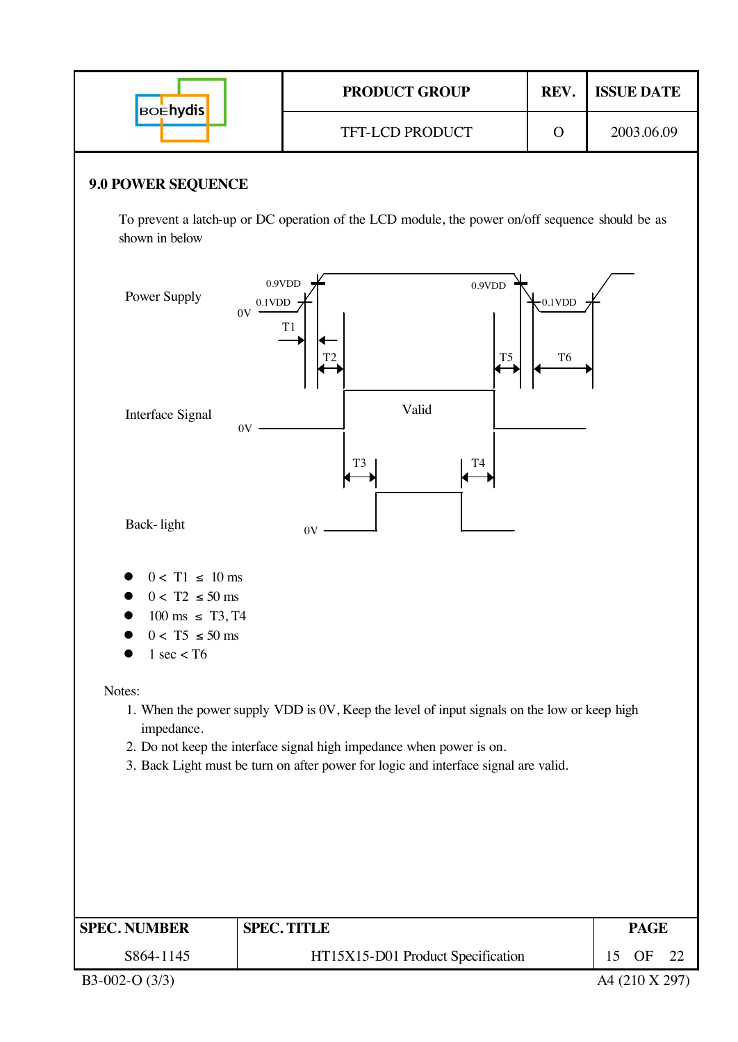| 2003.06.09<br>TFT-LCD PRODUCT<br>$\mathbf O$<br><b>9.0 POWER SEQUENCE</b><br>To prevent a latch-up or DC operation of the LCD module, the power on/off sequence should be as<br>shown in below<br>0.9VDD<br>$0.9$ VDD<br>Power Supply<br>$-0.1$ VDD<br>$0.1$ VDD<br>$0\mathrm{V}$<br>T1<br>T <sub>5</sub><br>T <sub>6</sub><br>Valid<br>Interface Signal<br>$0\mathrm{V}$<br>T <sub>3</sub><br>T4<br>Back-light<br>0V<br>$0 < T1 \leq 10$ ms<br>$0 < T2 \leq 50$ ms<br>$100 \text{ ms } \leq T3, T4$<br>$0 < T5 \leq 50$ ms<br>$1 \text{ sec} <$ T6<br>Notes:<br>1. When the power supply VDD is 0V, Keep the level of input signals on the low or keep high<br>impedance.<br>2. Do not keep the interface signal high impedance when power is on.<br>3. Back Light must be turn on after power for logic and interface signal are valid.<br><b>SPEC. TITLE</b><br><b>PAGE</b><br>S864-1145<br>HT15X15-D01 Product Specification<br>OF<br>15<br>22 | <b>BOEhydis</b>     | PRODUCT GROUP | REV. | <b>ISSUE DATE</b> |
|----------------------------------------------------------------------------------------------------------------------------------------------------------------------------------------------------------------------------------------------------------------------------------------------------------------------------------------------------------------------------------------------------------------------------------------------------------------------------------------------------------------------------------------------------------------------------------------------------------------------------------------------------------------------------------------------------------------------------------------------------------------------------------------------------------------------------------------------------------------------------------------------------------------------------------------------------|---------------------|---------------|------|-------------------|
|                                                                                                                                                                                                                                                                                                                                                                                                                                                                                                                                                                                                                                                                                                                                                                                                                                                                                                                                                    |                     |               |      |                   |
|                                                                                                                                                                                                                                                                                                                                                                                                                                                                                                                                                                                                                                                                                                                                                                                                                                                                                                                                                    |                     |               |      |                   |
|                                                                                                                                                                                                                                                                                                                                                                                                                                                                                                                                                                                                                                                                                                                                                                                                                                                                                                                                                    |                     |               |      |                   |
|                                                                                                                                                                                                                                                                                                                                                                                                                                                                                                                                                                                                                                                                                                                                                                                                                                                                                                                                                    |                     |               |      |                   |
|                                                                                                                                                                                                                                                                                                                                                                                                                                                                                                                                                                                                                                                                                                                                                                                                                                                                                                                                                    |                     |               |      |                   |
|                                                                                                                                                                                                                                                                                                                                                                                                                                                                                                                                                                                                                                                                                                                                                                                                                                                                                                                                                    |                     |               |      |                   |
|                                                                                                                                                                                                                                                                                                                                                                                                                                                                                                                                                                                                                                                                                                                                                                                                                                                                                                                                                    |                     |               |      |                   |
|                                                                                                                                                                                                                                                                                                                                                                                                                                                                                                                                                                                                                                                                                                                                                                                                                                                                                                                                                    |                     |               |      |                   |
|                                                                                                                                                                                                                                                                                                                                                                                                                                                                                                                                                                                                                                                                                                                                                                                                                                                                                                                                                    | <b>SPEC. NUMBER</b> |               |      |                   |
| A4 (210 X 297)                                                                                                                                                                                                                                                                                                                                                                                                                                                                                                                                                                                                                                                                                                                                                                                                                                                                                                                                     | B3-002-O (3/3)      |               |      |                   |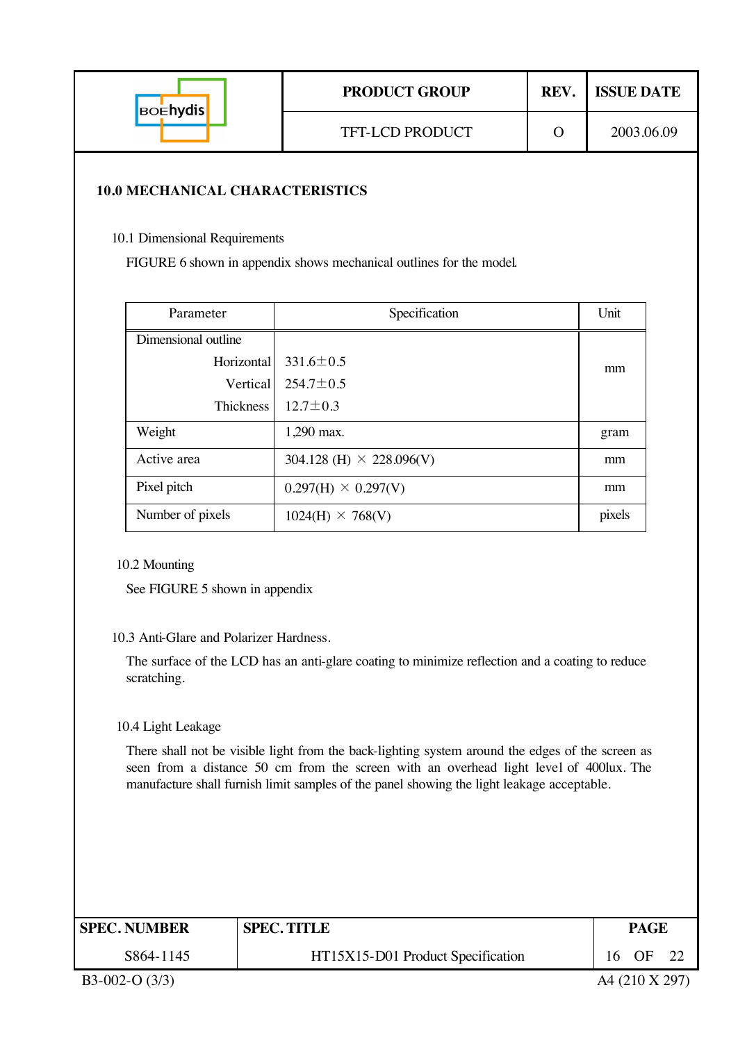| <b>BOENYdis</b> | <b>PRODUCT GROUP</b>   | <b>REV.</b> ISSUE DATE |
|-----------------|------------------------|------------------------|
|                 | <b>TFT-LCD PRODUCT</b> | 2003.06.09             |
|                 |                        |                        |

#### **10.0 MECHANICAL CHARACTERISTICS**

10.1 Dimensional Requirements

FIGURE 6 shown in appendix shows mechanical outlines for the model.

| Parameter           | Specification                   | Unit   |  |
|---------------------|---------------------------------|--------|--|
| Dimensional outline |                                 |        |  |
| Horizontal          | $331.6 \pm 0.5$                 | mm     |  |
| Vertical            | $254.7 \pm 0.5$                 |        |  |
| <b>Thickness</b>    | $12.7 \pm 0.3$                  |        |  |
| Weight              | 1,290 max.                      | gram   |  |
| Active area         | 304.128 (H) $\times$ 228.096(V) | mm     |  |
| Pixel pitch         | $0.297(H) \times 0.297(V)$      | mm     |  |
| Number of pixels    | $1024(H) \times 768(V)$         | pixels |  |

#### 10.2 Mounting

See FIGURE 5 shown in appendix

#### 10.3 Anti-Glare and Polarizer Hardness.

The surface of the LCD has an anti-glare coating to minimize reflection and a coating to reduce scratching.

10.4 Light Leakage

There shall not be visible light from the back-lighting system around the edges of the screen as seen from a distance 50 cm from the screen with an overhead light level of 400lux. The manufacture shall furnish limit samples of the panel showing the light leakage acceptable.

| <b>SPEC. NUMBER</b> | <b>SPEC. TITLE</b>                |    |    |  |  |  |  |
|---------------------|-----------------------------------|----|----|--|--|--|--|
| S864-1145           | HT15X15-D01 Product Specification | 16 | OF |  |  |  |  |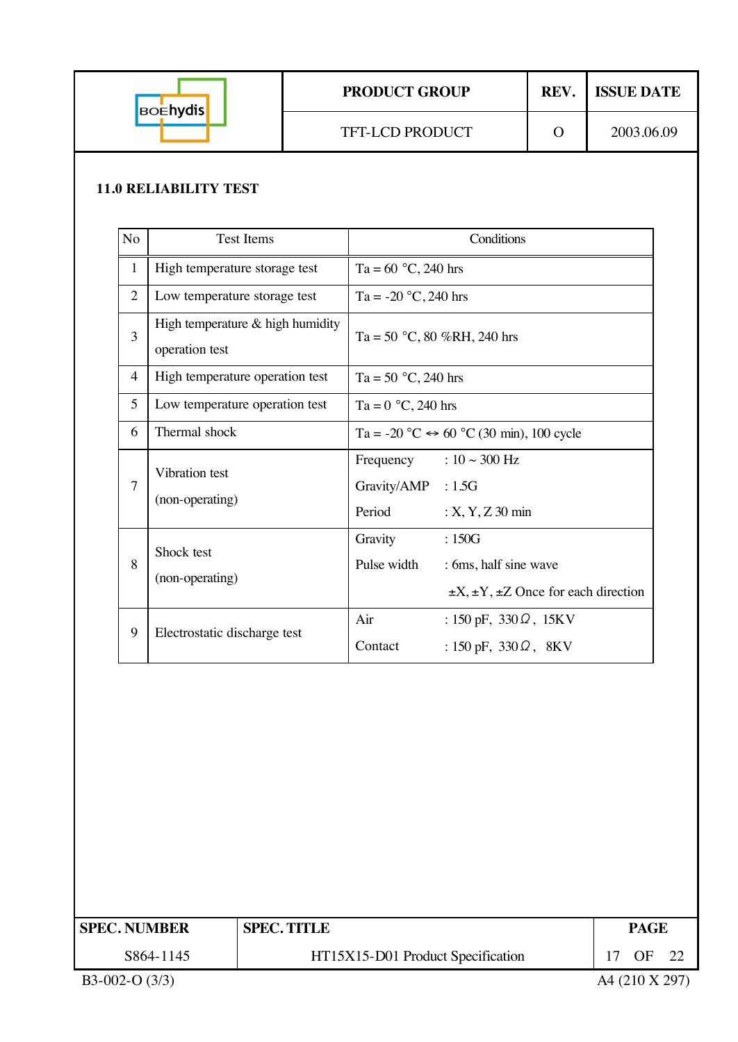| <b>BOENydis</b> | <b>PRODUCT GROUP</b>   | REV. | <b>ISSUE DATE</b> |
|-----------------|------------------------|------|-------------------|
|                 | <b>TFT-LCD PRODUCT</b> |      | 2003.06.09        |

#### **11.0 RELIABILITY TEST**

| No             | <b>Test Items</b>                                  | Conditions                                                                                                |  |
|----------------|----------------------------------------------------|-----------------------------------------------------------------------------------------------------------|--|
| $\mathbf{1}$   | High temperature storage test                      | Ta = $60 °C$ , 240 hrs                                                                                    |  |
| $\overline{2}$ | Low temperature storage test                       | Ta = $-20$ °C, 240 hrs                                                                                    |  |
| 3              | High temperature & high humidity<br>operation test | Ta = 50 °C, 80 %RH, 240 hrs                                                                               |  |
| 4              | High temperature operation test                    | Ta = 50 $^{\circ}$ C, 240 hrs                                                                             |  |
| 5              | Low temperature operation test                     | Ta = $0 °C$ , 240 hrs                                                                                     |  |
| 6              | Thermal shock                                      | Ta = -20 °C $\leftrightarrow$ 60 °C (30 min), 100 cycle                                                   |  |
| 7              | Vibration test<br>(non-operating)                  | Frequency : $10 \sim 300 \text{ Hz}$<br>Gravity/AMP : 1.5G<br>Period<br>$: X, Y, Z$ 30 min                |  |
| 8              | Shock test<br>(non-operating)                      | Gravity<br>:150G<br>Pulse width<br>: 6ms, half sine wave<br>$\pm X, \pm Y, \pm Z$ Once for each direction |  |
| 9              | Electrostatic discharge test                       | Air<br>: 150 pF, $330\Omega$ , 15KV<br>Contact<br>: 150 pF, $330 \Omega$ , 8KV                            |  |

| ' SPEC. NUMBER  | <b>SPEC. TITLE</b>                |    | <b>PAGE</b>    |      |  |
|-----------------|-----------------------------------|----|----------------|------|--|
| S864-1145       | HT15X15-D01 Product Specification | 17 | OF             | - 22 |  |
| $B3-002-O(3/3)$ |                                   |    | A4 (210 X 297) |      |  |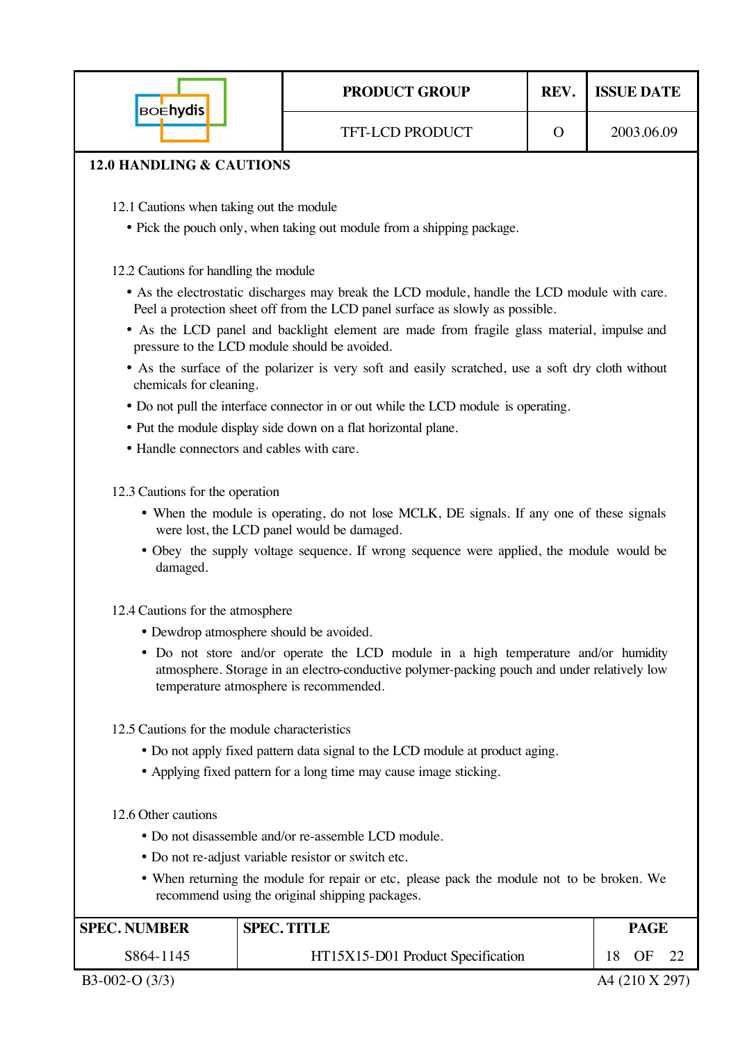| <b>BOEhydis</b>                                                                                                                                                                                                             | <b>PRODUCT GROUP</b>                                                                                                                        | REV.     | <b>ISSUE DATE</b> |  |  |  |  |
|-----------------------------------------------------------------------------------------------------------------------------------------------------------------------------------------------------------------------------|---------------------------------------------------------------------------------------------------------------------------------------------|----------|-------------------|--|--|--|--|
|                                                                                                                                                                                                                             | <b>TFT-LCD PRODUCT</b>                                                                                                                      | $\Omega$ | 2003.06.09        |  |  |  |  |
| <b>12.0 HANDLING &amp; CAUTIONS</b>                                                                                                                                                                                         |                                                                                                                                             |          |                   |  |  |  |  |
|                                                                                                                                                                                                                             |                                                                                                                                             |          |                   |  |  |  |  |
| 12.1 Cautions when taking out the module                                                                                                                                                                                    |                                                                                                                                             |          |                   |  |  |  |  |
|                                                                                                                                                                                                                             | • Pick the pouch only, when taking out module from a shipping package.                                                                      |          |                   |  |  |  |  |
| 12.2 Cautions for handling the module                                                                                                                                                                                       |                                                                                                                                             |          |                   |  |  |  |  |
|                                                                                                                                                                                                                             | • As the electrostatic discharges may break the LCD module, handle the LCD module with care.                                                |          |                   |  |  |  |  |
|                                                                                                                                                                                                                             | Peel a protection sheet off from the LCD panel surface as slowly as possible.                                                               |          |                   |  |  |  |  |
|                                                                                                                                                                                                                             | • As the LCD panel and backlight element are made from fragile glass material, impulse and<br>pressure to the LCD module should be avoided. |          |                   |  |  |  |  |
|                                                                                                                                                                                                                             | • As the surface of the polarizer is very soft and easily scratched, use a soft dry cloth without                                           |          |                   |  |  |  |  |
| chemicals for cleaning.                                                                                                                                                                                                     |                                                                                                                                             |          |                   |  |  |  |  |
|                                                                                                                                                                                                                             | • Do not pull the interface connector in or out while the LCD module is operating.                                                          |          |                   |  |  |  |  |
|                                                                                                                                                                                                                             | • Put the module display side down on a flat horizontal plane.                                                                              |          |                   |  |  |  |  |
|                                                                                                                                                                                                                             | • Handle connectors and cables with care.                                                                                                   |          |                   |  |  |  |  |
|                                                                                                                                                                                                                             |                                                                                                                                             |          |                   |  |  |  |  |
| 12.3 Cautions for the operation                                                                                                                                                                                             |                                                                                                                                             |          |                   |  |  |  |  |
|                                                                                                                                                                                                                             | • When the module is operating, do not lose MCLK, DE signals. If any one of these signals<br>were lost, the LCD panel would be damaged.     |          |                   |  |  |  |  |
| • Obey the supply voltage sequence. If wrong sequence were applied, the module would be<br>damaged.                                                                                                                         |                                                                                                                                             |          |                   |  |  |  |  |
| 12.4 Cautions for the atmosphere                                                                                                                                                                                            |                                                                                                                                             |          |                   |  |  |  |  |
| • Dewdrop atmosphere should be avoided.                                                                                                                                                                                     |                                                                                                                                             |          |                   |  |  |  |  |
| • Do not store and/or operate the LCD module in a high temperature and/or humidity<br>atmosphere. Storage in an electro-conductive polymer-packing pouch and under relatively low<br>temperature atmosphere is recommended. |                                                                                                                                             |          |                   |  |  |  |  |
|                                                                                                                                                                                                                             | 12.5 Cautions for the module characteristics                                                                                                |          |                   |  |  |  |  |
| • Do not apply fixed pattern data signal to the LCD module at product aging.                                                                                                                                                |                                                                                                                                             |          |                   |  |  |  |  |
|                                                                                                                                                                                                                             | • Applying fixed pattern for a long time may cause image sticking.                                                                          |          |                   |  |  |  |  |
|                                                                                                                                                                                                                             |                                                                                                                                             |          |                   |  |  |  |  |
| 12.6 Other cautions<br>• Do not disassemble and/or re-assemble LCD module.                                                                                                                                                  |                                                                                                                                             |          |                   |  |  |  |  |
| • Do not re-adjust variable resistor or switch etc.                                                                                                                                                                         |                                                                                                                                             |          |                   |  |  |  |  |
| • When returning the module for repair or etc, please pack the module not to be broken. We<br>recommend using the original shipping packages.                                                                               |                                                                                                                                             |          |                   |  |  |  |  |
| <b>SPEC. NUMBER</b>                                                                                                                                                                                                         | <b>SPEC. TITLE</b>                                                                                                                          |          | <b>PAGE</b>       |  |  |  |  |
| S864-1145                                                                                                                                                                                                                   | HT15X15-D01 Product Specification                                                                                                           |          | 18<br>OF<br>22    |  |  |  |  |

B3-002-O (3/3) A4 (210 X 297)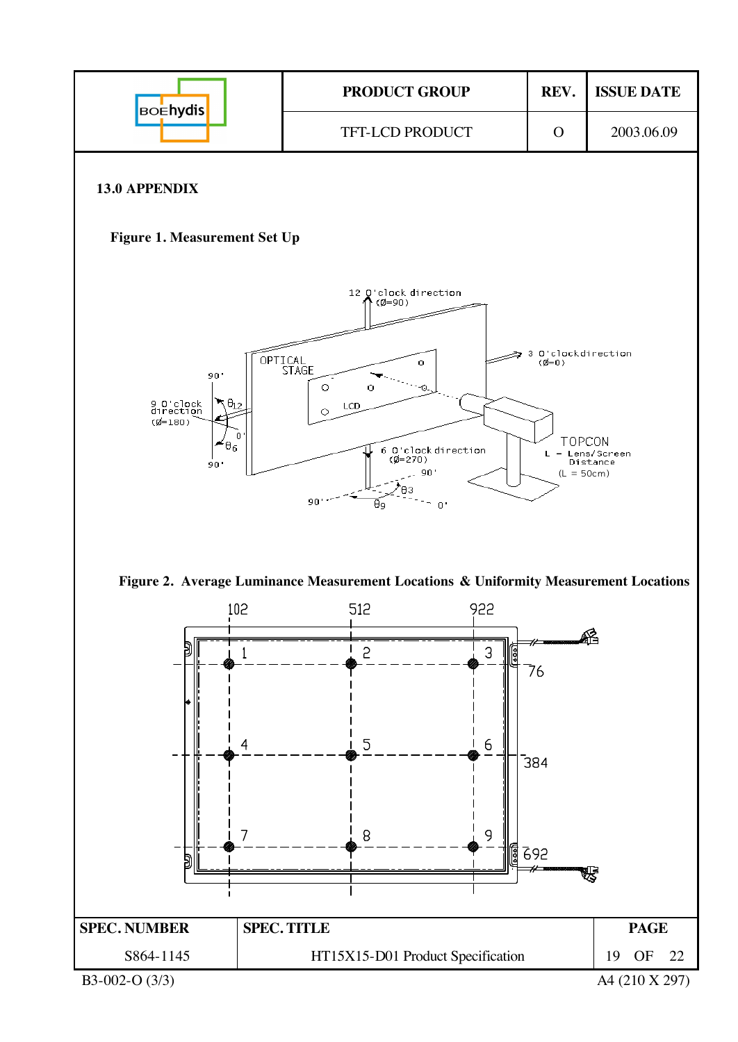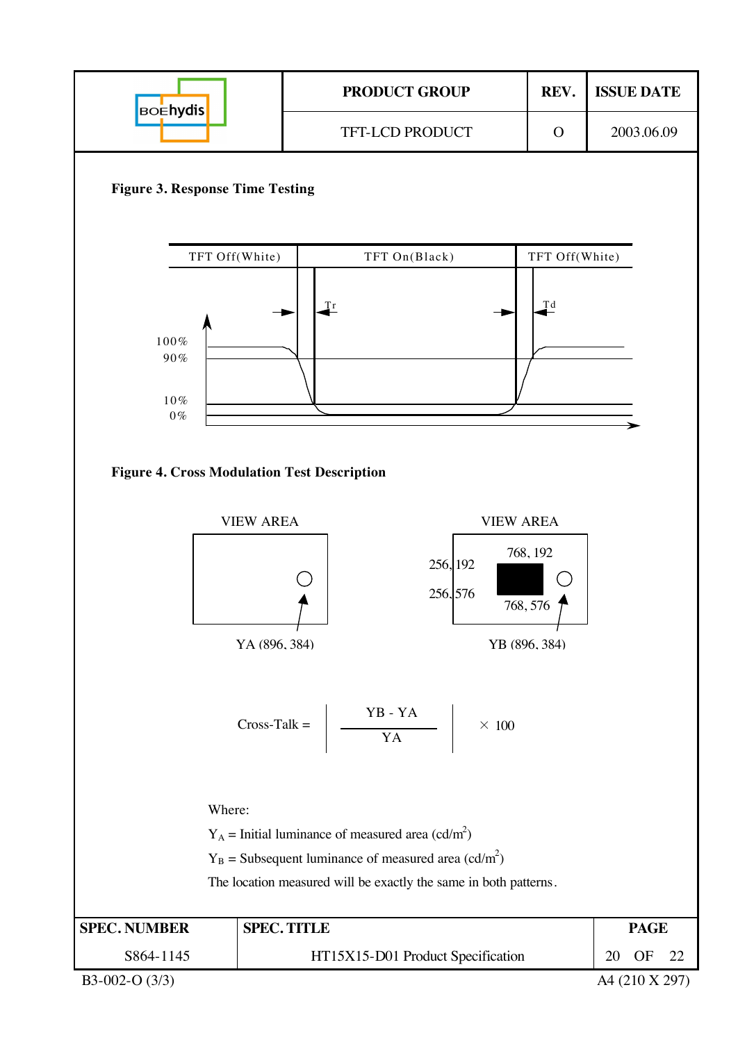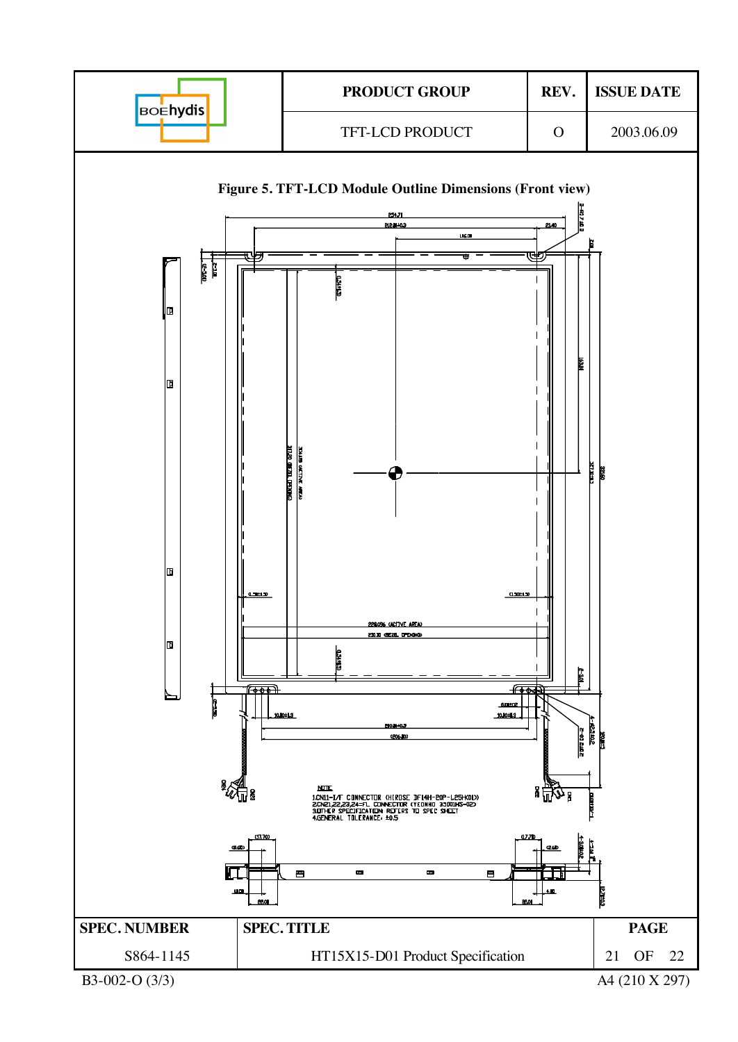